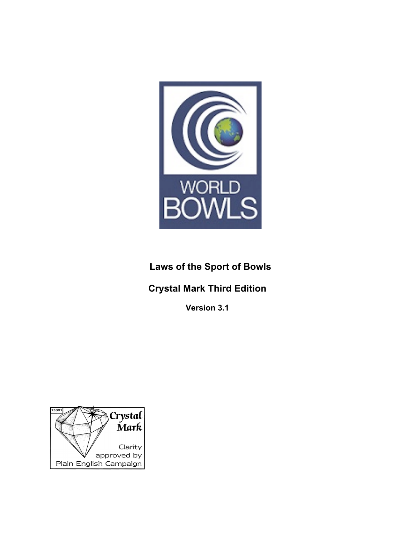

# **Laws of the Sport of Bowls**

# **Crystal Mark Third Edition**

**Version 3.1**

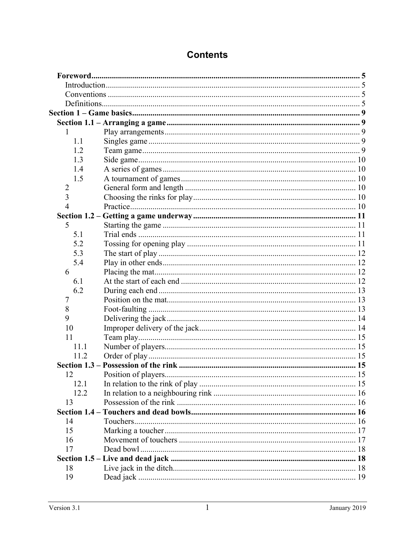| 1                       |    |
|-------------------------|----|
| 1.1                     |    |
| 1.2                     |    |
| 1.3                     |    |
| 1.4                     |    |
| 1.5                     |    |
| $\overline{2}$          |    |
| $\overline{\mathbf{3}}$ |    |
| $\overline{4}$          |    |
|                         |    |
| 5                       |    |
| 5.1                     |    |
| 5.2                     |    |
| 5.3                     |    |
| 5.4                     |    |
| 6                       |    |
| 6.1                     |    |
| 6.2                     |    |
| 7                       |    |
| 8                       |    |
| 9                       |    |
| 10                      |    |
| 11                      |    |
| 11.1                    |    |
| 11.2                    |    |
|                         |    |
| 12                      | 15 |
| 12.1                    |    |
| 12.2                    |    |
| 13                      |    |
|                         |    |
| 14                      |    |
| 15                      |    |
| 16                      |    |
| 17                      |    |
|                         |    |
| 18                      |    |
| 19                      |    |

# **Contents**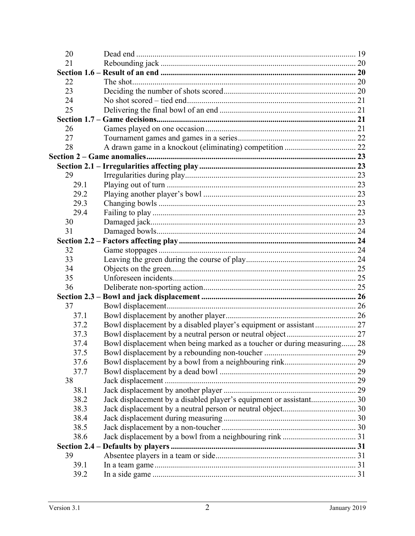| 20   |                                                                         |  |
|------|-------------------------------------------------------------------------|--|
| 21   |                                                                         |  |
|      |                                                                         |  |
| 22   |                                                                         |  |
| 23   |                                                                         |  |
| 24   |                                                                         |  |
| 25   |                                                                         |  |
|      |                                                                         |  |
| 26   |                                                                         |  |
| 27   |                                                                         |  |
| 28   |                                                                         |  |
|      |                                                                         |  |
|      |                                                                         |  |
| 29   |                                                                         |  |
| 29.1 |                                                                         |  |
| 29.2 |                                                                         |  |
| 29.3 |                                                                         |  |
| 29.4 |                                                                         |  |
| 30   |                                                                         |  |
| 31   |                                                                         |  |
|      |                                                                         |  |
| 32   |                                                                         |  |
| 33   |                                                                         |  |
| 34   |                                                                         |  |
| 35   |                                                                         |  |
| 36   |                                                                         |  |
|      |                                                                         |  |
| 37   |                                                                         |  |
| 37.1 |                                                                         |  |
| 37.2 | Bowl displacement by a disabled player's equipment or assistant 27      |  |
| 37.3 |                                                                         |  |
| 37.4 | Bowl displacement when being marked as a toucher or during measuring 28 |  |
| 37.5 |                                                                         |  |
| 37.6 |                                                                         |  |
| 37.7 |                                                                         |  |
| 38   |                                                                         |  |
| 38.1 |                                                                         |  |
| 38.2 |                                                                         |  |
| 38.3 |                                                                         |  |
| 38.4 |                                                                         |  |
| 38.5 |                                                                         |  |
| 38.6 |                                                                         |  |
|      |                                                                         |  |
| 39   |                                                                         |  |
| 39.1 |                                                                         |  |
| 39.2 |                                                                         |  |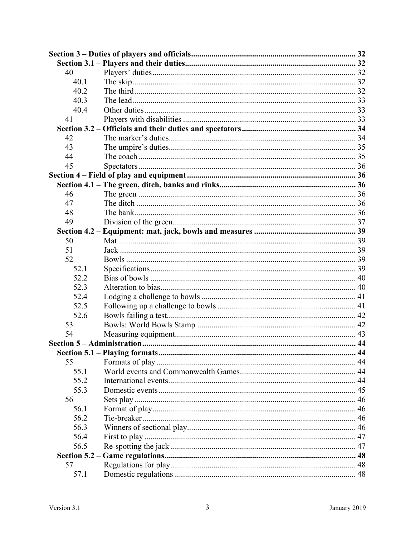| 40   |  |
|------|--|
| 40.1 |  |
| 40.2 |  |
| 40.3 |  |
| 40.4 |  |
| 41   |  |
|      |  |
| 42   |  |
| 43   |  |
| 44   |  |
| 45   |  |
|      |  |
|      |  |
| 46   |  |
| 47   |  |
| 48   |  |
| 49   |  |
|      |  |
| 50   |  |
| 51   |  |
| 52   |  |
| 52.1 |  |
| 52.2 |  |
| 52.3 |  |
| 52.4 |  |
| 52.5 |  |
| 52.6 |  |
| 53   |  |
| 54   |  |
|      |  |
|      |  |
| 55   |  |
| 55.1 |  |
| 55.2 |  |
| 55.3 |  |
| 56   |  |
| 56.1 |  |
| 56.2 |  |
| 56.3 |  |
| 56.4 |  |
| 56.5 |  |
|      |  |
| 57   |  |
| 57.1 |  |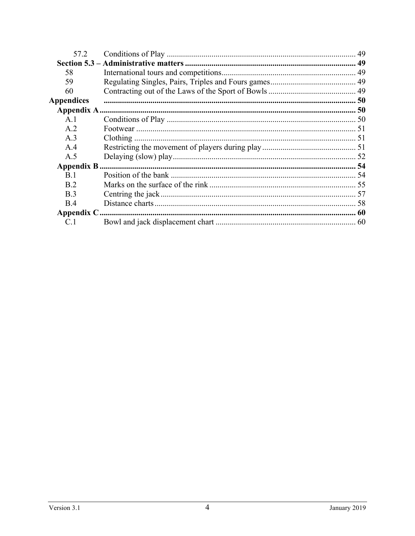| 57.2              |  |
|-------------------|--|
|                   |  |
| 58                |  |
| 59                |  |
| 60                |  |
| <b>Appendices</b> |  |
|                   |  |
| A.1               |  |
| A.2               |  |
| A.3               |  |
| A.4               |  |
| A.5               |  |
|                   |  |
| <b>B</b> 1        |  |
| <b>B</b> 2        |  |
| <b>B</b> .3       |  |
| B.4               |  |
|                   |  |
|                   |  |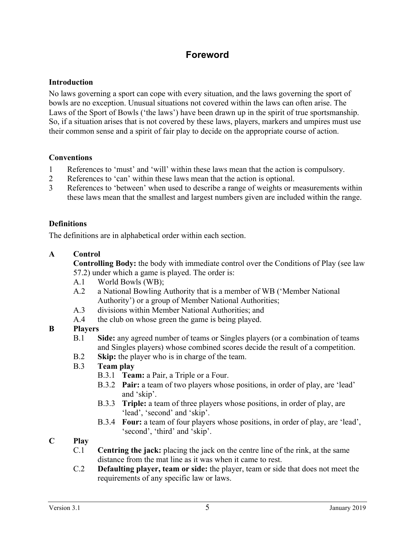## **Foreword**

#### **Introduction**

No laws governing a sport can cope with every situation, and the laws governing the sport of bowls are no exception. Unusual situations not covered within the laws can often arise. The Laws of the Sport of Bowls ('the laws') have been drawn up in the spirit of true sportsmanship. So, if a situation arises that is not covered by these laws, players, markers and umpires must use their common sense and a spirit of fair play to decide on the appropriate course of action.

#### **Conventions**

- 1 References to 'must' and 'will' within these laws mean that the action is compulsory.
- 2 References to 'can' within these laws mean that the action is optional.
- 3 References to 'between' when used to describe a range of weights or measurements within these laws mean that the smallest and largest numbers given are included within the range.

#### **Definitions**

The definitions are in alphabetical order within each section.

#### **A Control**

**Controlling Body:** the body with immediate control over the Conditions of Play (see law 57.2) under which a game is played. The order is:

- A.1 World Bowls (WB);
- A.2 a National Bowling Authority that is a member of WB ('Member National Authority') or a group of Member National Authorities;
- A.3 divisions within Member National Authorities; and
- A.4 the club on whose green the game is being played.

#### **B Players**

- B.1 **Side:** any agreed number of teams or Singles players (or a combination of teams and Singles players) whose combined scores decide the result of a competition.
- B.2 **Skip:** the player who is in charge of the team.
- B.3 **Team play**
	- B.3.1 **Team:** a Pair, a Triple or a Four.
	- B.3.2 **Pair:** a team of two players whose positions, in order of play, are 'lead' and 'skip'.
	- B.3.3 **Triple:** a team of three players whose positions, in order of play, are 'lead', 'second' and 'skip'.
	- B.3.4 **Four:** a team of four players whose positions, in order of play, are 'lead', 'second', 'third' and 'skip'.

#### **C Play**

- C.1 **Centring the jack:** placing the jack on the centre line of the rink, at the same distance from the mat line as it was when it came to rest.
- C.2 **Defaulting player, team or side:** the player, team or side that does not meet the requirements of any specific law or laws.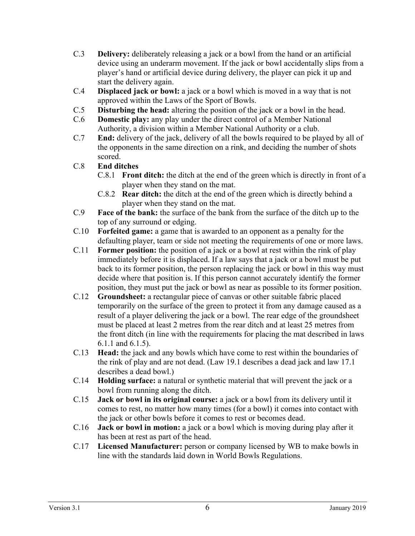- C.3 **Delivery:** deliberately releasing a jack or a bowl from the hand or an artificial device using an underarm movement. If the jack or bowl accidentally slips from a player's hand or artificial device during delivery, the player can pick it up and start the delivery again.
- C.4 **Displaced jack or bowl:** a jack or a bowl which is moved in a way that is not approved within the Laws of the Sport of Bowls.
- C.5 **Disturbing the head:** altering the position of the jack or a bowl in the head.
- C.6 **Domestic play:** any play under the direct control of a Member National Authority, a division within a Member National Authority or a club.
- C.7 **End:** delivery of the jack, delivery of all the bowls required to be played by all of the opponents in the same direction on a rink, and deciding the number of shots scored.
- C.8 **End ditches**
	- C.8.1 **Front ditch:** the ditch at the end of the green which is directly in front of a player when they stand on the mat.
	- C.8.2 **Rear ditch:** the ditch at the end of the green which is directly behind a player when they stand on the mat.
- C.9 **Face of the bank:** the surface of the bank from the surface of the ditch up to the top of any surround or edging.
- C.10 **Forfeited game:** a game that is awarded to an opponent as a penalty for the defaulting player, team or side not meeting the requirements of one or more laws.
- C.11 **Former position:** the position of a jack or a bowl at rest within the rink of play immediately before it is displaced. If a law says that a jack or a bowl must be put back to its former position, the person replacing the jack or bowl in this way must decide where that position is. If this person cannot accurately identify the former position, they must put the jack or bowl as near as possible to its former position.
- C.12 **Groundsheet:** a rectangular piece of canvas or other suitable fabric placed temporarily on the surface of the green to protect it from any damage caused as a result of a player delivering the jack or a bowl. The rear edge of the groundsheet must be placed at least 2 metres from the rear ditch and at least 25 metres from the front ditch (in line with the requirements for placing the mat described in laws 6.1.1 and 6.1.5).
- C.13 **Head:** the jack and any bowls which have come to rest within the boundaries of the rink of play and are not dead. (Law 19.1 describes a dead jack and law 17.1 describes a dead bowl.)
- C.14 **Holding surface:** a natural or synthetic material that will prevent the jack or a bowl from running along the ditch.
- C.15 **Jack or bowl in its original course:** a jack or a bowl from its delivery until it comes to rest, no matter how many times (for a bowl) it comes into contact with the jack or other bowls before it comes to rest or becomes dead.
- C.16 **Jack or bowl in motion:** a jack or a bowl which is moving during play after it has been at rest as part of the head.
- C.17 **Licensed Manufacturer:** person or company licensed by WB to make bowls in line with the standards laid down in World Bowls Regulations.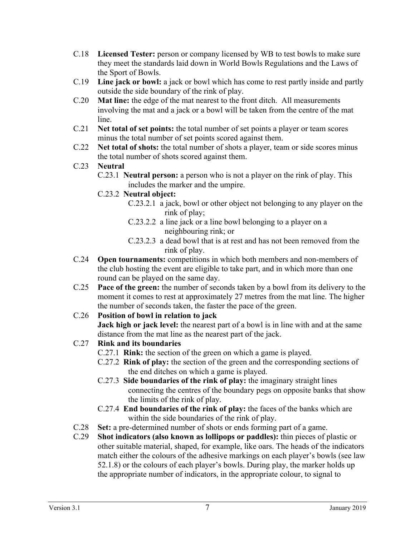- C.18 **Licensed Tester:** person or company licensed by WB to test bowls to make sure they meet the standards laid down in World Bowls Regulations and the Laws of the Sport of Bowls.
- C.19 **Line jack or bowl:** a jack or bowl which has come to rest partly inside and partly outside the side boundary of the rink of play.
- C.20 **Mat line:** the edge of the mat nearest to the front ditch. All measurements involving the mat and a jack or a bowl will be taken from the centre of the mat line.
- C.21 **Net total of set points:** the total number of set points a player or team scores minus the total number of set points scored against them.
- C.22 **Net total of shots:** the total number of shots a player, team or side scores minus the total number of shots scored against them.

## C.23 **Neutral**

C.23.1 **Neutral person:** a person who is not a player on the rink of play. This includes the marker and the umpire.

## C.23.2 **Neutral object:**

- C.23.2.1 a jack, bowl or other object not belonging to any player on the rink of play;
- C.23.2.2 a line jack or a line bowl belonging to a player on a neighbouring rink; or
- C.23.2.3 a dead bowl that is at rest and has not been removed from the rink of play.
- C.24 **Open tournaments:** competitions in which both members and non-members of the club hosting the event are eligible to take part, and in which more than one round can be played on the same day.
- C.25 **Pace of the green:** the number of seconds taken by a bowl from its delivery to the moment it comes to rest at approximately 27 metres from the mat line. The higher the number of seconds taken, the faster the pace of the green.

## C.26 **Position of bowl in relation to jack**

**Jack high or jack level:** the nearest part of a bowl is in line with and at the same distance from the mat line as the nearest part of the jack.

## C.27 **Rink and its boundaries**

- C.27.1 **Rink:** the section of the green on which a game is played.
- C.27.2 **Rink of play:** the section of the green and the corresponding sections of the end ditches on which a game is played.
- C.27.3 **Side boundaries of the rink of play:** the imaginary straight lines connecting the centres of the boundary pegs on opposite banks that show the limits of the rink of play.
- C.27.4 **End boundaries of the rink of play:** the faces of the banks which are within the side boundaries of the rink of play.
- C.28 **Set:** a pre-determined number of shots or ends forming part of a game.
- C.29 **Shot indicators (also known as lollipops or paddles):** thin pieces of plastic or other suitable material, shaped, for example, like oars. The heads of the indicators match either the colours of the adhesive markings on each player's bowls (see law 52.1.8) or the colours of each player's bowls. During play, the marker holds up the appropriate number of indicators, in the appropriate colour, to signal to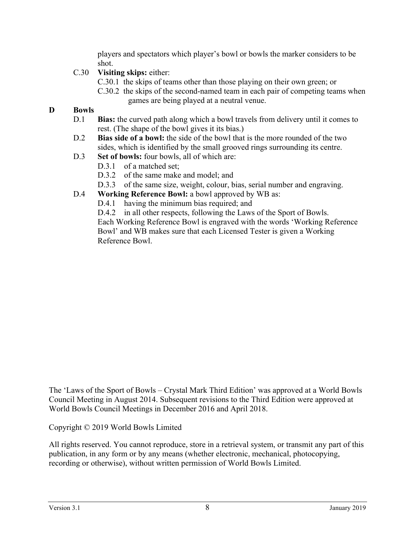players and spectators which player's bowl or bowls the marker considers to be shot.

## C.30 **Visiting skips:** either:

- C.30.1 the skips of teams other than those playing on their own green; or
- C.30.2 the skips of the second-named team in each pair of competing teams when games are being played at a neutral venue.

## **D Bowls**

- D.1 **Bias:** the curved path along which a bowl travels from delivery until it comes to rest. (The shape of the bowl gives it its bias.)
- D.2 **Bias side of a bowl:** the side of the bowl that is the more rounded of the two sides, which is identified by the small grooved rings surrounding its centre.
- D.3 **Set of bowls:** four bowls, all of which are:
	- D.3.1 of a matched set:
	- D.3.2 of the same make and model; and
	- D.3.3 of the same size, weight, colour, bias, serial number and engraving.
- D.4 **Working Reference Bowl:** a bowl approved by WB as:
	- D.4.1 having the minimum bias required; and

D.4.2 in all other respects, following the Laws of the Sport of Bowls. Each Working Reference Bowl is engraved with the words 'Working Reference Bowl' and WB makes sure that each Licensed Tester is given a Working Reference Bowl.

The 'Laws of the Sport of Bowls – Crystal Mark Third Edition' was approved at a World Bowls Council Meeting in August 2014. Subsequent revisions to the Third Edition were approved at World Bowls Council Meetings in December 2016 and April 2018.

Copyright © 2019 World Bowls Limited

All rights reserved. You cannot reproduce, store in a retrieval system, or transmit any part of this publication, in any form or by any means (whether electronic, mechanical, photocopying, recording or otherwise), without written permission of World Bowls Limited.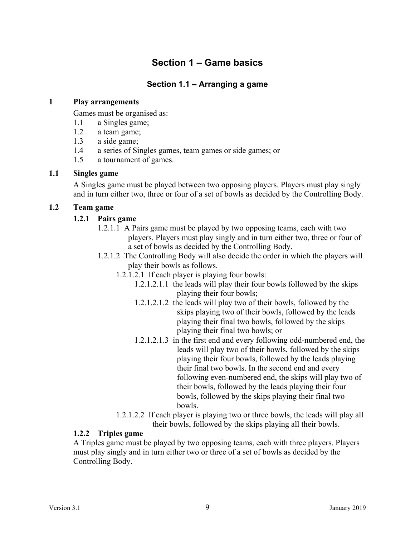# **Section 1 – Game basics**

## **Section 1.1 – Arranging a game**

#### **1 Play arrangements**

Games must be organised as:

- 1.1 a Singles game;
- 1.2 a team game;
- 1.3 a side game;
- 1.4 a series of Singles games, team games or side games; or
- 1.5 a tournament of games.

#### **1.1 Singles game**

A Singles game must be played between two opposing players. Players must play singly and in turn either two, three or four of a set of bowls as decided by the Controlling Body.

#### **1.2 Team game**

#### **1.2.1 Pairs game**

- 1.2.1.1 A Pairs game must be played by two opposing teams, each with two players. Players must play singly and in turn either two, three or four of a set of bowls as decided by the Controlling Body.
- 1.2.1.2 The Controlling Body will also decide the order in which the players will play their bowls as follows.
	- 1.2.1.2.1 If each player is playing four bowls:
		- 1.2.1.2.1.1 the leads will play their four bowls followed by the skips playing their four bowls;
		- 1.2.1.2.1.2 the leads will play two of their bowls, followed by the skips playing two of their bowls, followed by the leads playing their final two bowls, followed by the skips playing their final two bowls; or
		- 1.2.1.2.1.3 in the first end and every following odd-numbered end, the leads will play two of their bowls, followed by the skips playing their four bowls, followed by the leads playing their final two bowls. In the second end and every following even-numbered end, the skips will play two of their bowls, followed by the leads playing their four bowls, followed by the skips playing their final two bowls.
	- 1.2.1.2.2 If each player is playing two or three bowls, the leads will play all their bowls, followed by the skips playing all their bowls.

#### **1.2.2 Triples game**

A Triples game must be played by two opposing teams, each with three players. Players must play singly and in turn either two or three of a set of bowls as decided by the Controlling Body.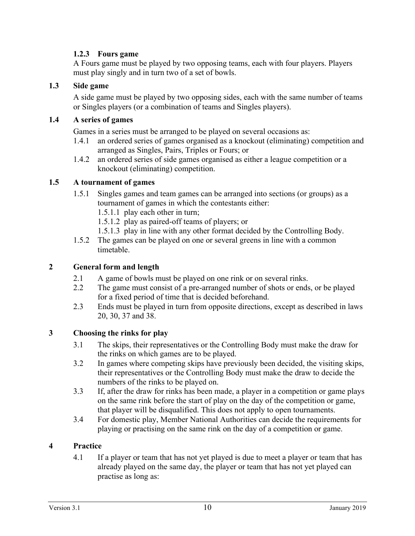## **1.2.3 Fours game**

A Fours game must be played by two opposing teams, each with four players. Players must play singly and in turn two of a set of bowls.

#### **1.3 Side game**

A side game must be played by two opposing sides, each with the same number of teams or Singles players (or a combination of teams and Singles players).

#### **1.4 A series of games**

Games in a series must be arranged to be played on several occasions as:

- 1.4.1 an ordered series of games organised as a knockout (eliminating) competition and arranged as Singles, Pairs, Triples or Fours; or
- 1.4.2 an ordered series of side games organised as either a league competition or a knockout (eliminating) competition.

#### **1.5 A tournament of games**

- 1.5.1 Singles games and team games can be arranged into sections (or groups) as a tournament of games in which the contestants either:
	- 1.5.1.1 play each other in turn;
	- 1.5.1.2 play as paired-off teams of players; or
	- 1.5.1.3 play in line with any other format decided by the Controlling Body.
- 1.5.2 The games can be played on one or several greens in line with a common timetable.

#### **2 General form and length**

- 2.1 A game of bowls must be played on one rink or on several rinks.
- 2.2 The game must consist of a pre-arranged number of shots or ends, or be played for a fixed period of time that is decided beforehand.
- 2.3 Ends must be played in turn from opposite directions, except as described in laws 20, 30, 37 and 38.

#### **3 Choosing the rinks for play**

- 3.1 The skips, their representatives or the Controlling Body must make the draw for the rinks on which games are to be played.
- 3.2 In games where competing skips have previously been decided, the visiting skips, their representatives or the Controlling Body must make the draw to decide the numbers of the rinks to be played on.
- 3.3 If, after the draw for rinks has been made, a player in a competition or game plays on the same rink before the start of play on the day of the competition or game, that player will be disqualified. This does not apply to open tournaments.
- 3.4 For domestic play, Member National Authorities can decide the requirements for playing or practising on the same rink on the day of a competition or game.

#### **4 Practice**

4.1 If a player or team that has not yet played is due to meet a player or team that has already played on the same day, the player or team that has not yet played can practise as long as: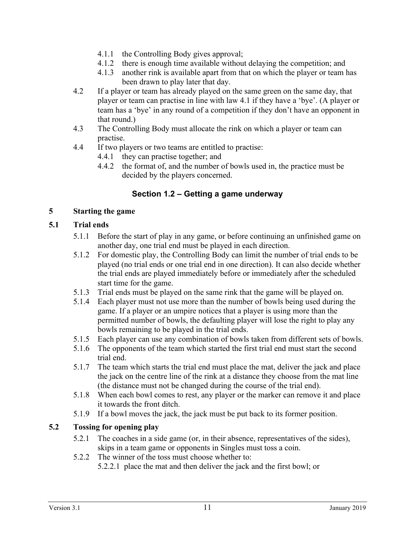- 4.1.1 the Controlling Body gives approval;
- 4.1.2 there is enough time available without delaying the competition; and
- 4.1.3 another rink is available apart from that on which the player or team has been drawn to play later that day.
- 4.2 If a player or team has already played on the same green on the same day, that player or team can practise in line with law 4.1 if they have a 'bye'. (A player or team has a 'bye' in any round of a competition if they don't have an opponent in that round.)
- 4.3 The Controlling Body must allocate the rink on which a player or team can practise.
- 4.4 If two players or two teams are entitled to practise:
	- 4.4.1 they can practise together; and
	- 4.4.2 the format of, and the number of bowls used in, the practice must be decided by the players concerned.

## **Section 1.2 – Getting a game underway**

#### **5 Starting the game**

#### **5.1 Trial ends**

- 5.1.1 Before the start of play in any game, or before continuing an unfinished game on another day, one trial end must be played in each direction.
- 5.1.2 For domestic play, the Controlling Body can limit the number of trial ends to be played (no trial ends or one trial end in one direction). It can also decide whether the trial ends are played immediately before or immediately after the scheduled start time for the game.
- 5.1.3 Trial ends must be played on the same rink that the game will be played on.
- 5.1.4 Each player must not use more than the number of bowls being used during the game. If a player or an umpire notices that a player is using more than the permitted number of bowls, the defaulting player will lose the right to play any bowls remaining to be played in the trial ends.
- 5.1.5 Each player can use any combination of bowls taken from different sets of bowls.
- 5.1.6 The opponents of the team which started the first trial end must start the second trial end.
- 5.1.7 The team which starts the trial end must place the mat, deliver the jack and place the jack on the centre line of the rink at a distance they choose from the mat line (the distance must not be changed during the course of the trial end).
- 5.1.8 When each bowl comes to rest, any player or the marker can remove it and place it towards the front ditch.
- 5.1.9 If a bowl moves the jack, the jack must be put back to its former position.

#### **5.2 Tossing for opening play**

- 5.2.1 The coaches in a side game (or, in their absence, representatives of the sides), skips in a team game or opponents in Singles must toss a coin.
- 5.2.2 The winner of the toss must choose whether to:
	- 5.2.2.1 place the mat and then deliver the jack and the first bowl; or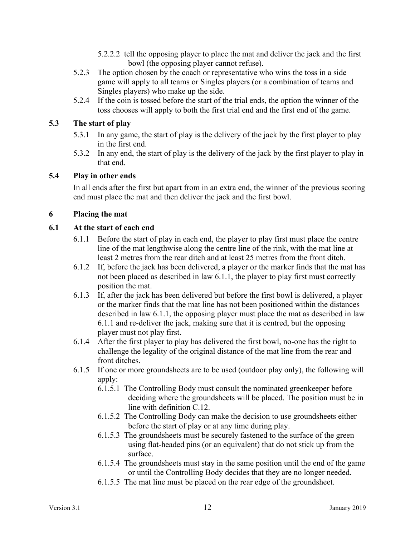- 5.2.2.2 tell the opposing player to place the mat and deliver the jack and the first bowl (the opposing player cannot refuse).
- 5.2.3 The option chosen by the coach or representative who wins the toss in a side game will apply to all teams or Singles players (or a combination of teams and Singles players) who make up the side.
- 5.2.4 If the coin is tossed before the start of the trial ends, the option the winner of the toss chooses will apply to both the first trial end and the first end of the game.

## **5.3 The start of play**

- 5.3.1 In any game, the start of play is the delivery of the jack by the first player to play in the first end.
- 5.3.2 In any end, the start of play is the delivery of the jack by the first player to play in that end.

## **5.4 Play in other ends**

In all ends after the first but apart from in an extra end, the winner of the previous scoring end must place the mat and then deliver the jack and the first bowl.

## **6 Placing the mat**

## **6.1 At the start of each end**

- 6.1.1 Before the start of play in each end, the player to play first must place the centre line of the mat lengthwise along the centre line of the rink, with the mat line at least 2 metres from the rear ditch and at least 25 metres from the front ditch.
- 6.1.2 If, before the jack has been delivered, a player or the marker finds that the mat has not been placed as described in law 6.1.1, the player to play first must correctly position the mat.
- 6.1.3 If, after the jack has been delivered but before the first bowl is delivered, a player or the marker finds that the mat line has not been positioned within the distances described in law 6.1.1, the opposing player must place the mat as described in law 6.1.1 and re-deliver the jack, making sure that it is centred, but the opposing player must not play first.
- 6.1.4 After the first player to play has delivered the first bowl, no-one has the right to challenge the legality of the original distance of the mat line from the rear and front ditches.
- 6.1.5 If one or more groundsheets are to be used (outdoor play only), the following will apply:
	- 6.1.5.1 The Controlling Body must consult the nominated greenkeeper before deciding where the groundsheets will be placed. The position must be in line with definition C.12.
	- 6.1.5.2 The Controlling Body can make the decision to use groundsheets either before the start of play or at any time during play.
	- 6.1.5.3 The groundsheets must be securely fastened to the surface of the green using flat-headed pins (or an equivalent) that do not stick up from the surface.
	- 6.1.5.4 The groundsheets must stay in the same position until the end of the game or until the Controlling Body decides that they are no longer needed.
	- 6.1.5.5 The mat line must be placed on the rear edge of the groundsheet.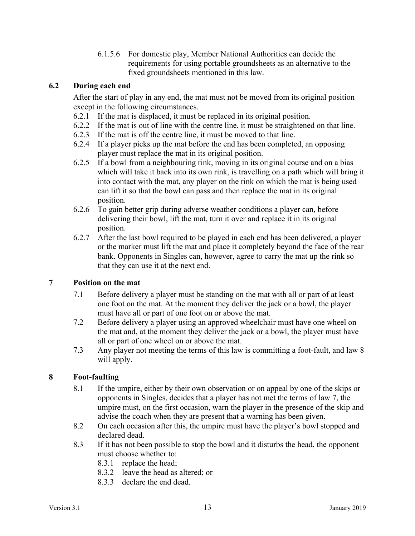6.1.5.6 For domestic play, Member National Authorities can decide the requirements for using portable groundsheets as an alternative to the fixed groundsheets mentioned in this law.

#### **6.2 During each end**

After the start of play in any end, the mat must not be moved from its original position except in the following circumstances.

- 6.2.1 If the mat is displaced, it must be replaced in its original position.
- 6.2.2 If the mat is out of line with the centre line, it must be straightened on that line.
- 6.2.3 If the mat is off the centre line, it must be moved to that line.
- 6.2.4 If a player picks up the mat before the end has been completed, an opposing player must replace the mat in its original position.
- 6.2.5 If a bowl from a neighbouring rink, moving in its original course and on a bias which will take it back into its own rink, is travelling on a path which will bring it into contact with the mat, any player on the rink on which the mat is being used can lift it so that the bowl can pass and then replace the mat in its original position.
- 6.2.6 To gain better grip during adverse weather conditions a player can, before delivering their bowl, lift the mat, turn it over and replace it in its original position.
- 6.2.7 After the last bowl required to be played in each end has been delivered, a player or the marker must lift the mat and place it completely beyond the face of the rear bank. Opponents in Singles can, however, agree to carry the mat up the rink so that they can use it at the next end.

#### **7 Position on the mat**

- 7.1 Before delivery a player must be standing on the mat with all or part of at least one foot on the mat. At the moment they deliver the jack or a bowl, the player must have all or part of one foot on or above the mat.
- 7.2 Before delivery a player using an approved wheelchair must have one wheel on the mat and, at the moment they deliver the jack or a bowl, the player must have all or part of one wheel on or above the mat.
- 7.3 Any player not meeting the terms of this law is committing a foot-fault, and law 8 will apply.

#### **8 Foot-faulting**

- 8.1 If the umpire, either by their own observation or on appeal by one of the skips or opponents in Singles, decides that a player has not met the terms of law 7, the umpire must, on the first occasion, warn the player in the presence of the skip and advise the coach when they are present that a warning has been given.
- 8.2 On each occasion after this, the umpire must have the player's bowl stopped and declared dead.
- 8.3 If it has not been possible to stop the bowl and it disturbs the head, the opponent must choose whether to:
	- 8.3.1 replace the head;
	- 8.3.2 leave the head as altered; or
	- 8.3.3 declare the end dead.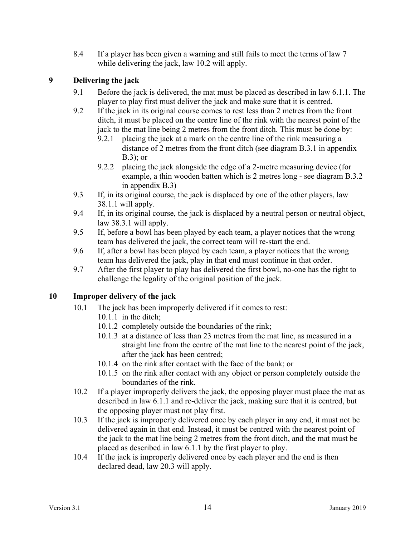8.4 If a player has been given a warning and still fails to meet the terms of law 7 while delivering the jack, law 10.2 will apply.

## **9 Delivering the jack**

- 9.1 Before the jack is delivered, the mat must be placed as described in law 6.1.1. The player to play first must deliver the jack and make sure that it is centred.
- 9.2 If the jack in its original course comes to rest less than 2 metres from the front ditch, it must be placed on the centre line of the rink with the nearest point of the jack to the mat line being 2 metres from the front ditch. This must be done by:
	- 9.2.1 placing the jack at a mark on the centre line of the rink measuring a distance of 2 metres from the front ditch (see diagram B.3.1 in appendix  $B.3$ ); or
	- 9.2.2 placing the jack alongside the edge of a 2-metre measuring device (for example, a thin wooden batten which is 2 metres long - see diagram B.3.2 in appendix B.3)
- 9.3 If, in its original course, the jack is displaced by one of the other players, law 38.1.1 will apply.
- 9.4 If, in its original course, the jack is displaced by a neutral person or neutral object, law 38.3.1 will apply.
- 9.5 If, before a bowl has been played by each team, a player notices that the wrong team has delivered the jack, the correct team will re-start the end.
- 9.6 If, after a bowl has been played by each team, a player notices that the wrong team has delivered the jack, play in that end must continue in that order.
- 9.7 After the first player to play has delivered the first bowl, no-one has the right to challenge the legality of the original position of the jack.

## **10 Improper delivery of the jack**

- 10.1 The jack has been improperly delivered if it comes to rest:
	- 10.1.1 in the ditch;
	- 10.1.2 completely outside the boundaries of the rink;
	- 10.1.3 at a distance of less than 23 metres from the mat line, as measured in a straight line from the centre of the mat line to the nearest point of the jack, after the jack has been centred;
	- 10.1.4 on the rink after contact with the face of the bank; or
	- 10.1.5 on the rink after contact with any object or person completely outside the boundaries of the rink.
- 10.2 If a player improperly delivers the jack, the opposing player must place the mat as described in law 6.1.1 and re-deliver the jack, making sure that it is centred, but the opposing player must not play first.
- 10.3 If the jack is improperly delivered once by each player in any end, it must not be delivered again in that end. Instead, it must be centred with the nearest point of the jack to the mat line being 2 metres from the front ditch, and the mat must be placed as described in law 6.1.1 by the first player to play.
- 10.4 If the jack is improperly delivered once by each player and the end is then declared dead, law 20.3 will apply.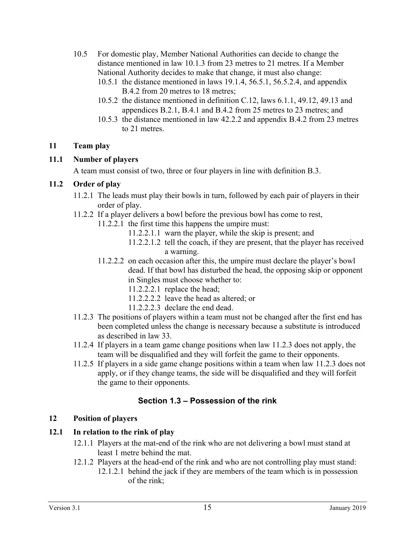- 10.5 For domestic play, Member National Authorities can decide to change the distance mentioned in law 10.1.3 from 23 metres to 21 metres. If a Member National Authority decides to make that change, it must also change:
	- 10.5.1 the distance mentioned in laws 19.1.4, 56.5.1, 56.5.2.4, and appendix B.4.2 from 20 metres to 18 metres;
	- 10.5.2 the distance mentioned in definition C.12, laws 6.1.1, 49.12, 49.13 and appendices B.2.1, B.4.1 and B.4.2 from 25 metres to 23 metres; and
	- 10.5.3 the distance mentioned in law 42.2.2 and appendix B.4.2 from 23 metres to 21 metres.

#### **11 Team play**

## **11.1 Number of players**

A team must consist of two, three or four players in line with definition B.3.

## **11.2 Order of play**

- 11.2.1 The leads must play their bowls in turn, followed by each pair of players in their order of play.
- 11.2.2 If a player delivers a bowl before the previous bowl has come to rest,
	- 11.2.2.1 the first time this happens the umpire must:
		- 11.2.2.1.1 warn the player, while the skip is present; and
		- 11.2.2.1.2 tell the coach, if they are present, that the player has received a warning.
	- 11.2.2.2 on each occasion after this, the umpire must declare the player's bowl dead. If that bowl has disturbed the head, the opposing skip or opponent in Singles must choose whether to:
		- 11.2.2.2.1 replace the head;
		- 11.2.2.2.2 leave the head as altered; or
		- 11.2.2.2.3 declare the end dead.
- 11.2.3 The positions of players within a team must not be changed after the first end has been completed unless the change is necessary because a substitute is introduced as described in law 33.
- 11.2.4 If players in a team game change positions when law 11.2.3 does not apply, the team will be disqualified and they will forfeit the game to their opponents.
- 11.2.5 If players in a side game change positions within a team when law 11.2.3 does not apply, or if they change teams, the side will be disqualified and they will forfeit the game to their opponents.

## **Section 1.3 – Possession of the rink**

## **12 Position of players**

## **12.1 In relation to the rink of play**

- 12.1.1 Players at the mat-end of the rink who are not delivering a bowl must stand at least 1 metre behind the mat.
- 12.1.2 Players at the head-end of the rink and who are not controlling play must stand:
	- 12.1.2.1 behind the jack if they are members of the team which is in possession of the rink;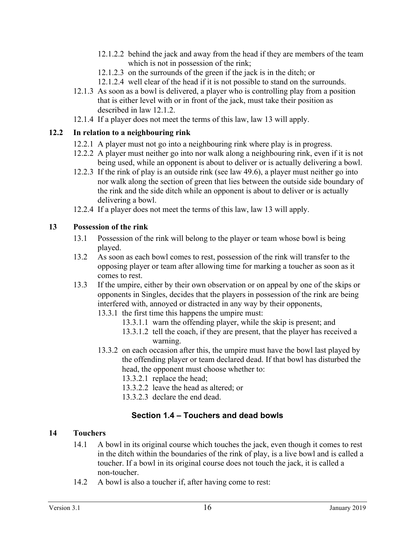- 12.1.2.2 behind the jack and away from the head if they are members of the team which is not in possession of the rink;
- 12.1.2.3 on the surrounds of the green if the jack is in the ditch; or
- 12.1.2.4 well clear of the head if it is not possible to stand on the surrounds.
- 12.1.3 As soon as a bowl is delivered, a player who is controlling play from a position that is either level with or in front of the jack, must take their position as described in law 12.1.2.
- 12.1.4 If a player does not meet the terms of this law, law 13 will apply.

## **12.2 In relation to a neighbouring rink**

- 12.2.1 A player must not go into a neighbouring rink where play is in progress.
- 12.2.2 A player must neither go into nor walk along a neighbouring rink, even if it is not being used, while an opponent is about to deliver or is actually delivering a bowl.
- 12.2.3 If the rink of play is an outside rink (see law 49.6), a player must neither go into nor walk along the section of green that lies between the outside side boundary of the rink and the side ditch while an opponent is about to deliver or is actually delivering a bowl.
- 12.2.4 If a player does not meet the terms of this law, law 13 will apply.

## **13 Possession of the rink**

- 13.1 Possession of the rink will belong to the player or team whose bowl is being played.
- 13.2 As soon as each bowl comes to rest, possession of the rink will transfer to the opposing player or team after allowing time for marking a toucher as soon as it comes to rest.
- 13.3 If the umpire, either by their own observation or on appeal by one of the skips or opponents in Singles, decides that the players in possession of the rink are being interfered with, annoyed or distracted in any way by their opponents,
	- 13.3.1 the first time this happens the umpire must:
		- 13.3.1.1 warn the offending player, while the skip is present; and
		- 13.3.1.2 tell the coach, if they are present, that the player has received a warning.
	- 13.3.2 on each occasion after this, the umpire must have the bowl last played by the offending player or team declared dead. If that bowl has disturbed the head, the opponent must choose whether to:
		- 13.3.2.1 replace the head;
		- 13.3.2.2 leave the head as altered; or
		- 13.3.2.3 declare the end dead.

# **Section 1.4 – Touchers and dead bowls**

## **14 Touchers**

- 14.1 A bowl in its original course which touches the jack, even though it comes to rest in the ditch within the boundaries of the rink of play, is a live bowl and is called a toucher. If a bowl in its original course does not touch the jack, it is called a non-toucher.
- 14.2 A bowl is also a toucher if, after having come to rest: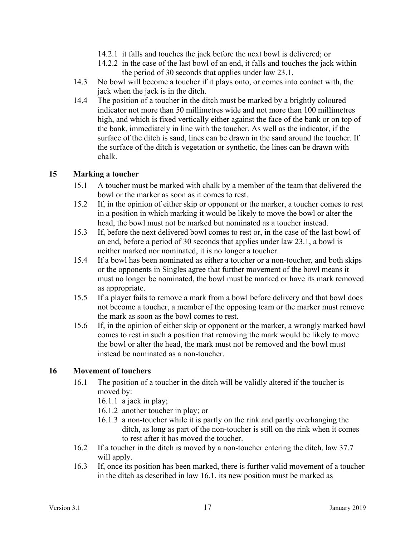- 14.2.1 it falls and touches the jack before the next bowl is delivered; or
- 14.2.2 in the case of the last bowl of an end, it falls and touches the jack within the period of 30 seconds that applies under law 23.1.
- 14.3 No bowl will become a toucher if it plays onto, or comes into contact with, the jack when the jack is in the ditch.
- 14.4 The position of a toucher in the ditch must be marked by a brightly coloured indicator not more than 50 millimetres wide and not more than 100 millimetres high, and which is fixed vertically either against the face of the bank or on top of the bank, immediately in line with the toucher. As well as the indicator, if the surface of the ditch is sand, lines can be drawn in the sand around the toucher. If the surface of the ditch is vegetation or synthetic, the lines can be drawn with chalk.

#### **15 Marking a toucher**

- 15.1 A toucher must be marked with chalk by a member of the team that delivered the bowl or the marker as soon as it comes to rest.
- 15.2 If, in the opinion of either skip or opponent or the marker, a toucher comes to rest in a position in which marking it would be likely to move the bowl or alter the head, the bowl must not be marked but nominated as a toucher instead.
- 15.3 If, before the next delivered bowl comes to rest or, in the case of the last bowl of an end, before a period of 30 seconds that applies under law 23.1, a bowl is neither marked nor nominated, it is no longer a toucher.
- 15.4 If a bowl has been nominated as either a toucher or a non-toucher, and both skips or the opponents in Singles agree that further movement of the bowl means it must no longer be nominated, the bowl must be marked or have its mark removed as appropriate.
- 15.5 If a player fails to remove a mark from a bowl before delivery and that bowl does not become a toucher, a member of the opposing team or the marker must remove the mark as soon as the bowl comes to rest.
- 15.6 If, in the opinion of either skip or opponent or the marker, a wrongly marked bowl comes to rest in such a position that removing the mark would be likely to move the bowl or alter the head, the mark must not be removed and the bowl must instead be nominated as a non-toucher.

#### **16 Movement of touchers**

- 16.1 The position of a toucher in the ditch will be validly altered if the toucher is moved by:
	- 16.1.1 a jack in play;
	- 16.1.2 another toucher in play; or
	- 16.1.3 a non-toucher while it is partly on the rink and partly overhanging the ditch, as long as part of the non-toucher is still on the rink when it comes to rest after it has moved the toucher.
- 16.2 If a toucher in the ditch is moved by a non-toucher entering the ditch, law 37.7 will apply.
- 16.3 If, once its position has been marked, there is further valid movement of a toucher in the ditch as described in law 16.1, its new position must be marked as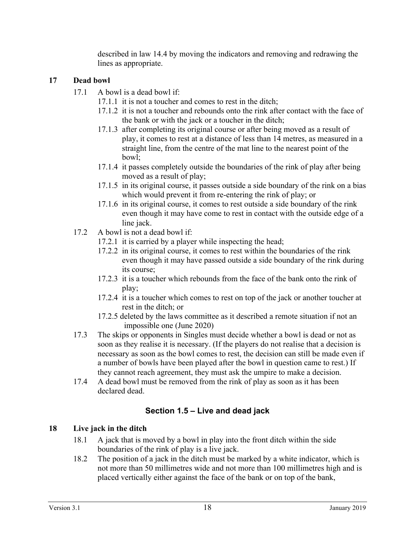described in law 14.4 by moving the indicators and removing and redrawing the lines as appropriate.

## **17 Dead bowl**

- 17.1 A bowl is a dead bowl if:
	- 17.1.1 it is not a toucher and comes to rest in the ditch;
	- 17.1.2 it is not a toucher and rebounds onto the rink after contact with the face of the bank or with the jack or a toucher in the ditch;
	- 17.1.3 after completing its original course or after being moved as a result of play, it comes to rest at a distance of less than 14 metres, as measured in a straight line, from the centre of the mat line to the nearest point of the bowl;
	- 17.1.4 it passes completely outside the boundaries of the rink of play after being moved as a result of play;
	- 17.1.5 in its original course, it passes outside a side boundary of the rink on a bias which would prevent it from re-entering the rink of play; or
	- 17.1.6 in its original course, it comes to rest outside a side boundary of the rink even though it may have come to rest in contact with the outside edge of a line jack.
- 17.2 A bowl is not a dead bowl if:
	- 17.2.1 it is carried by a player while inspecting the head;
	- 17.2.2 in its original course, it comes to rest within the boundaries of the rink even though it may have passed outside a side boundary of the rink during its course;
	- 17.2.3 it is a toucher which rebounds from the face of the bank onto the rink of play;
	- 17.2.4 it is a toucher which comes to rest on top of the jack or another toucher at rest in the ditch; or
	- 17.2.5 deleted by the laws committee as it described a remote situation if not an impossible one (June 2020)
- 17.3 The skips or opponents in Singles must decide whether a bowl is dead or not as soon as they realise it is necessary. (If the players do not realise that a decision is necessary as soon as the bowl comes to rest, the decision can still be made even if a number of bowls have been played after the bowl in question came to rest.) If they cannot reach agreement, they must ask the umpire to make a decision.
- 17.4 A dead bowl must be removed from the rink of play as soon as it has been declared dead.

## **Section 1.5 – Live and dead jack**

## **18 Live jack in the ditch**

- 18.1 A jack that is moved by a bowl in play into the front ditch within the side boundaries of the rink of play is a live jack.
- 18.2 The position of a jack in the ditch must be marked by a white indicator, which is not more than 50 millimetres wide and not more than 100 millimetres high and is placed vertically either against the face of the bank or on top of the bank,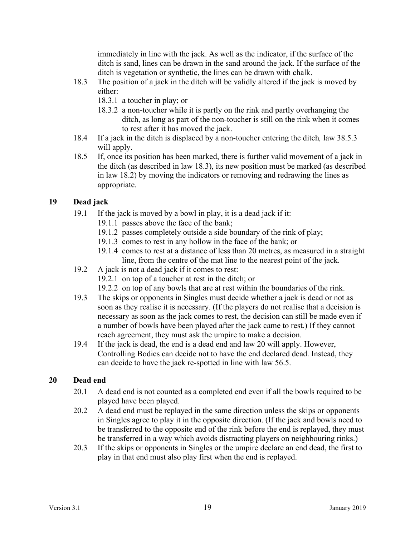immediately in line with the jack. As well as the indicator, if the surface of the ditch is sand, lines can be drawn in the sand around the jack. If the surface of the ditch is vegetation or synthetic, the lines can be drawn with chalk.

- 18.3 The position of a jack in the ditch will be validly altered if the jack is moved by either:
	- 18.3.1 a toucher in play; or
	- 18.3.2 a non-toucher while it is partly on the rink and partly overhanging the ditch, as long as part of the non-toucher is still on the rink when it comes to rest after it has moved the jack.
- 18.4 If a jack in the ditch is displaced by a non-toucher entering the ditch*,* law 38.5.3 will apply.
- 18.5 If, once its position has been marked, there is further valid movement of a jack in the ditch (as described in law 18.3), its new position must be marked (as described in law 18.2) by moving the indicators or removing and redrawing the lines as appropriate.

## **19 Dead jack**

- 19.1 If the jack is moved by a bowl in play, it is a dead jack if it:
	- 19.1.1 passes above the face of the bank;
	- 19.1.2 passes completely outside a side boundary of the rink of play;
	- 19.1.3 comes to rest in any hollow in the face of the bank; or
	- 19.1.4 comes to rest at a distance of less than 20 metres, as measured in a straight line, from the centre of the mat line to the nearest point of the jack.
- 19.2 A jack is not a dead jack if it comes to rest:
	- 19.2.1 on top of a toucher at rest in the ditch; or
	- 19.2.2 on top of any bowls that are at rest within the boundaries of the rink.
- 19.3 The skips or opponents in Singles must decide whether a jack is dead or not as soon as they realise it is necessary. (If the players do not realise that a decision is necessary as soon as the jack comes to rest, the decision can still be made even if a number of bowls have been played after the jack came to rest.) If they cannot reach agreement, they must ask the umpire to make a decision.
- 19.4 If the jack is dead, the end is a dead end and law 20 will apply. However, Controlling Bodies can decide not to have the end declared dead. Instead, they can decide to have the jack re-spotted in line with law 56.5.

## **20 Dead end**

- 20.1 A dead end is not counted as a completed end even if all the bowls required to be played have been played.
- 20.2 A dead end must be replayed in the same direction unless the skips or opponents in Singles agree to play it in the opposite direction. (If the jack and bowls need to be transferred to the opposite end of the rink before the end is replayed, they must be transferred in a way which avoids distracting players on neighbouring rinks.)
- 20.3 If the skips or opponents in Singles or the umpire declare an end dead, the first to play in that end must also play first when the end is replayed.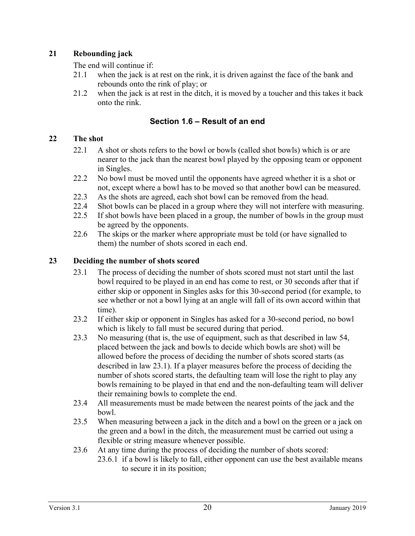## **21 Rebounding jack**

The end will continue if:

- 21.1 when the jack is at rest on the rink, it is driven against the face of the bank and rebounds onto the rink of play; or
- 21.2 when the jack is at rest in the ditch, it is moved by a toucher and this takes it back onto the rink.

## **Section 1.6 – Result of an end**

## **22 The shot**

- 22.1 A shot or shots refers to the bowl or bowls (called shot bowls) which is or are nearer to the jack than the nearest bowl played by the opposing team or opponent in Singles.
- 22.2 No bowl must be moved until the opponents have agreed whether it is a shot or not, except where a bowl has to be moved so that another bowl can be measured.
- 22.3 As the shots are agreed, each shot bowl can be removed from the head.
- 22.4 Shot bowls can be placed in a group where they will not interfere with measuring.
- 22.5 If shot bowls have been placed in a group, the number of bowls in the group must be agreed by the opponents.
- 22.6 The skips or the marker where appropriate must be told (or have signalled to them) the number of shots scored in each end.

## **23 Deciding the number of shots scored**

- 23.1 The process of deciding the number of shots scored must not start until the last bowl required to be played in an end has come to rest, or 30 seconds after that if either skip or opponent in Singles asks for this 30-second period (for example, to see whether or not a bowl lying at an angle will fall of its own accord within that time).
- 23.2 If either skip or opponent in Singles has asked for a 30-second period, no bowl which is likely to fall must be secured during that period.
- 23.3 No measuring (that is, the use of equipment, such as that described in law 54, placed between the jack and bowls to decide which bowls are shot) will be allowed before the process of deciding the number of shots scored starts (as described in law 23.1). If a player measures before the process of deciding the number of shots scored starts, the defaulting team will lose the right to play any bowls remaining to be played in that end and the non-defaulting team will deliver their remaining bowls to complete the end.
- 23.4 All measurements must be made between the nearest points of the jack and the bowl.
- 23.5 When measuring between a jack in the ditch and a bowl on the green or a jack on the green and a bowl in the ditch, the measurement must be carried out using a flexible or string measure whenever possible.
- 23.6 At any time during the process of deciding the number of shots scored:
	- 23.6.1 if a bowl is likely to fall, either opponent can use the best available means to secure it in its position;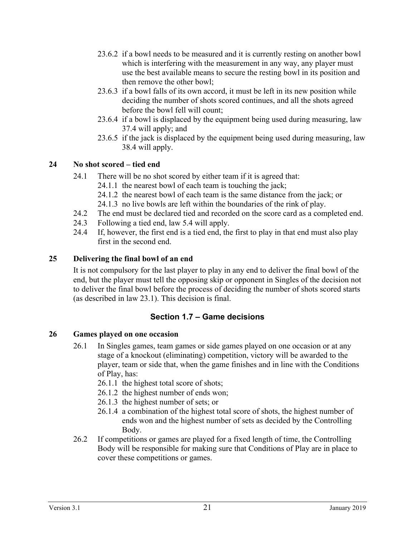- 23.6.2 if a bowl needs to be measured and it is currently resting on another bowl which is interfering with the measurement in any way, any player must use the best available means to secure the resting bowl in its position and then remove the other bowl;
- 23.6.3 if a bowl falls of its own accord, it must be left in its new position while deciding the number of shots scored continues, and all the shots agreed before the bowl fell will count;
- 23.6.4 if a bowl is displaced by the equipment being used during measuring, law 37.4 will apply; and
- 23.6.5 if the jack is displaced by the equipment being used during measuring, law 38.4 will apply.

## **24 No shot scored – tied end**

- 24.1 There will be no shot scored by either team if it is agreed that:
	- 24.1.1 the nearest bowl of each team is touching the jack;
	- 24.1.2 the nearest bowl of each team is the same distance from the jack; or
	- 24.1.3 no live bowls are left within the boundaries of the rink of play.
- 24.2 The end must be declared tied and recorded on the score card as a completed end.
- 24.3 Following a tied end, law 5.4 will apply.
- 24.4 If, however, the first end is a tied end, the first to play in that end must also play first in the second end.

## **25 Delivering the final bowl of an end**

It is not compulsory for the last player to play in any end to deliver the final bowl of the end, but the player must tell the opposing skip or opponent in Singles of the decision not to deliver the final bowl before the process of deciding the number of shots scored starts (as described in law 23.1). This decision is final.

## **Section 1.7 – Game decisions**

#### **26 Games played on one occasion**

- 26.1 In Singles games, team games or side games played on one occasion or at any stage of a knockout (eliminating) competition, victory will be awarded to the player, team or side that, when the game finishes and in line with the Conditions of Play, has:
	- 26.1.1 the highest total score of shots;
	- 26.1.2 the highest number of ends won;
	- 26.1.3 the highest number of sets; or
	- 26.1.4 a combination of the highest total score of shots, the highest number of ends won and the highest number of sets as decided by the Controlling Body.
- 26.2 If competitions or games are played for a fixed length of time, the Controlling Body will be responsible for making sure that Conditions of Play are in place to cover these competitions or games.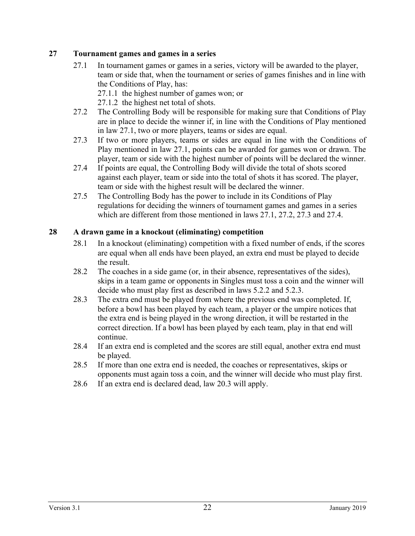#### **27 Tournament games and games in a series**

- 27.1 In tournament games or games in a series, victory will be awarded to the player, team or side that, when the tournament or series of games finishes and in line with the Conditions of Play, has:
	- 27.1.1 the highest number of games won; or
	- 27.1.2 the highest net total of shots.
- 27.2 The Controlling Body will be responsible for making sure that Conditions of Play are in place to decide the winner if, in line with the Conditions of Play mentioned in law 27.1, two or more players, teams or sides are equal.
- 27.3 If two or more players, teams or sides are equal in line with the Conditions of Play mentioned in law 27.1, points can be awarded for games won or drawn. The player, team or side with the highest number of points will be declared the winner.
- 27.4 If points are equal, the Controlling Body will divide the total of shots scored against each player, team or side into the total of shots it has scored. The player, team or side with the highest result will be declared the winner.
- 27.5 The Controlling Body has the power to include in its Conditions of Play regulations for deciding the winners of tournament games and games in a series which are different from those mentioned in laws 27.1, 27.2, 27.3 and 27.4.

#### **28 A drawn game in a knockout (eliminating) competition**

- 28.1 In a knockout (eliminating) competition with a fixed number of ends, if the scores are equal when all ends have been played, an extra end must be played to decide the result.
- 28.2 The coaches in a side game (or, in their absence, representatives of the sides), skips in a team game or opponents in Singles must toss a coin and the winner will decide who must play first as described in laws 5.2.2 and 5.2.3.
- 28.3 The extra end must be played from where the previous end was completed. If, before a bowl has been played by each team, a player or the umpire notices that the extra end is being played in the wrong direction, it will be restarted in the correct direction. If a bowl has been played by each team, play in that end will continue.
- 28.4 If an extra end is completed and the scores are still equal, another extra end must be played.
- 28.5 If more than one extra end is needed, the coaches or representatives, skips or opponents must again toss a coin, and the winner will decide who must play first.
- 28.6 If an extra end is declared dead, law 20.3 will apply.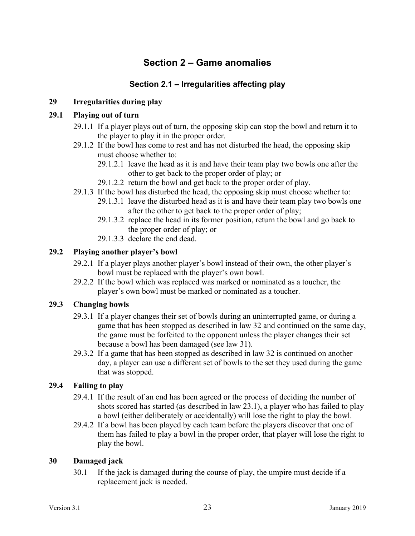# **Section 2 – Game anomalies**

## **Section 2.1 – Irregularities affecting play**

## **29 Irregularities during play**

#### **29.1 Playing out of turn**

- 29.1.1 If a player plays out of turn, the opposing skip can stop the bowl and return it to the player to play it in the proper order.
- 29.1.2 If the bowl has come to rest and has not disturbed the head, the opposing skip must choose whether to:
	- 29.1.2.1 leave the head as it is and have their team play two bowls one after the other to get back to the proper order of play; or
	- 29.1.2.2 return the bowl and get back to the proper order of play.
- 29.1.3 If the bowl has disturbed the head, the opposing skip must choose whether to:
	- 29.1.3.1 leave the disturbed head as it is and have their team play two bowls one after the other to get back to the proper order of play;
	- 29.1.3.2 replace the head in its former position, return the bowl and go back to the proper order of play; or
	- 29.1.3.3 declare the end dead.

#### **29.2 Playing another player's bowl**

- 29.2.1 If a player plays another player's bowl instead of their own, the other player's bowl must be replaced with the player's own bowl.
- 29.2.2 If the bowl which was replaced was marked or nominated as a toucher, the player's own bowl must be marked or nominated as a toucher.

#### **29.3 Changing bowls**

- 29.3.1 If a player changes their set of bowls during an uninterrupted game, or during a game that has been stopped as described in law 32 and continued on the same day, the game must be forfeited to the opponent unless the player changes their set because a bowl has been damaged (see law 31).
- 29.3.2 If a game that has been stopped as described in law 32 is continued on another day, a player can use a different set of bowls to the set they used during the game that was stopped.

#### **29.4 Failing to play**

- 29.4.1 If the result of an end has been agreed or the process of deciding the number of shots scored has started (as described in law 23.1), a player who has failed to play a bowl (either deliberately or accidentally) will lose the right to play the bowl.
- 29.4.2 If a bowl has been played by each team before the players discover that one of them has failed to play a bowl in the proper order, that player will lose the right to play the bowl.

#### **30 Damaged jack**

30.1 If the jack is damaged during the course of play, the umpire must decide if a replacement jack is needed.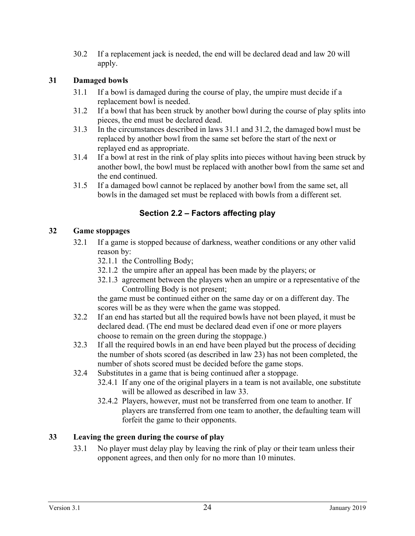30.2 If a replacement jack is needed, the end will be declared dead and law 20 will apply.

## **31 Damaged bowls**

- 31.1 If a bowl is damaged during the course of play, the umpire must decide if a replacement bowl is needed.
- 31.2 If a bowl that has been struck by another bowl during the course of play splits into pieces, the end must be declared dead.
- 31.3 In the circumstances described in laws 31.1 and 31.2, the damaged bowl must be replaced by another bowl from the same set before the start of the next or replayed end as appropriate.
- 31.4 If a bowl at rest in the rink of play splits into pieces without having been struck by another bowl, the bowl must be replaced with another bowl from the same set and the end continued.
- 31.5 If a damaged bowl cannot be replaced by another bowl from the same set, all bowls in the damaged set must be replaced with bowls from a different set.

## **Section 2.2 – Factors affecting play**

#### **32 Game stoppages**

- 32.1 If a game is stopped because of darkness, weather conditions or any other valid reason by:
	- 32.1.1 the Controlling Body;
	- 32.1.2 the umpire after an appeal has been made by the players; or
	- 32.1.3 agreement between the players when an umpire or a representative of the Controlling Body is not present;

the game must be continued either on the same day or on a different day. The scores will be as they were when the game was stopped.

- 32.2 If an end has started but all the required bowls have not been played, it must be declared dead. (The end must be declared dead even if one or more players choose to remain on the green during the stoppage.)
- 32.3 If all the required bowls in an end have been played but the process of deciding the number of shots scored (as described in law 23) has not been completed, the number of shots scored must be decided before the game stops.
- 32.4 Substitutes in a game that is being continued after a stoppage.
	- 32.4.1 If any one of the original players in a team is not available, one substitute will be allowed as described in law 33.
	- 32.4.2 Players, however, must not be transferred from one team to another. If players are transferred from one team to another, the defaulting team will forfeit the game to their opponents.

## **33 Leaving the green during the course of play**

33.1 No player must delay play by leaving the rink of play or their team unless their opponent agrees, and then only for no more than 10 minutes.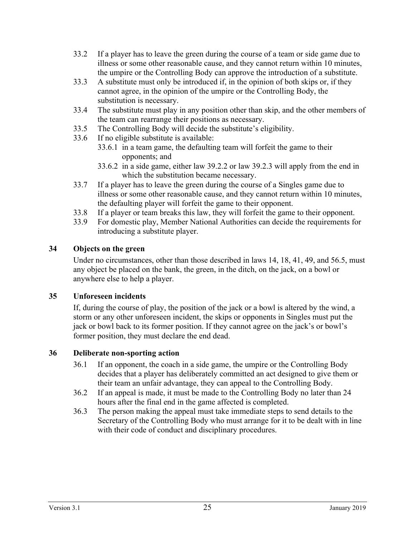- 33.2 If a player has to leave the green during the course of a team or side game due to illness or some other reasonable cause, and they cannot return within 10 minutes, the umpire or the Controlling Body can approve the introduction of a substitute.
- 33.3 A substitute must only be introduced if, in the opinion of both skips or, if they cannot agree, in the opinion of the umpire or the Controlling Body, the substitution is necessary.
- 33.4 The substitute must play in any position other than skip, and the other members of the team can rearrange their positions as necessary.
- 33.5 The Controlling Body will decide the substitute's eligibility.
- 33.6 If no eligible substitute is available:
	- 33.6.1 in a team game, the defaulting team will forfeit the game to their opponents; and
	- 33.6.2 in a side game, either law 39.2.2 or law 39.2.3 will apply from the end in which the substitution became necessary.
- 33.7 If a player has to leave the green during the course of a Singles game due to illness or some other reasonable cause, and they cannot return within 10 minutes, the defaulting player will forfeit the game to their opponent.
- 33.8 If a player or team breaks this law, they will forfeit the game to their opponent.
- 33.9 For domestic play, Member National Authorities can decide the requirements for introducing a substitute player.

## **34 Objects on the green**

Under no circumstances, other than those described in laws 14, 18, 41, 49, and 56.5, must any object be placed on the bank, the green, in the ditch, on the jack, on a bowl or anywhere else to help a player.

#### **35 Unforeseen incidents**

If, during the course of play, the position of the jack or a bowl is altered by the wind, a storm or any other unforeseen incident, the skips or opponents in Singles must put the jack or bowl back to its former position. If they cannot agree on the jack's or bowl's former position, they must declare the end dead.

#### **36 Deliberate non-sporting action**

- 36.1 If an opponent, the coach in a side game, the umpire or the Controlling Body decides that a player has deliberately committed an act designed to give them or their team an unfair advantage, they can appeal to the Controlling Body.
- 36.2 If an appeal is made, it must be made to the Controlling Body no later than 24 hours after the final end in the game affected is completed.
- 36.3 The person making the appeal must take immediate steps to send details to the Secretary of the Controlling Body who must arrange for it to be dealt with in line with their code of conduct and disciplinary procedures.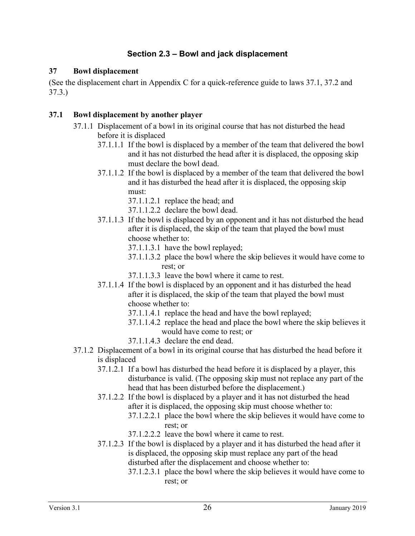## **Section 2.3 – Bowl and jack displacement**

#### **37 Bowl displacement**

(See the displacement chart in Appendix C for a quick-reference guide to laws 37.1, 37.2 and 37.3.)

#### **37.1 Bowl displacement by another player**

- 37.1.1 Displacement of a bowl in its original course that has not disturbed the head before it is displaced
	- 37.1.1.1 If the bowl is displaced by a member of the team that delivered the bowl and it has not disturbed the head after it is displaced, the opposing skip must declare the bowl dead.
	- 37.1.1.2 If the bowl is displaced by a member of the team that delivered the bowl and it has disturbed the head after it is displaced, the opposing skip must:
		- 37.1.1.2.1 replace the head; and
		- 37.1.1.2.2 declare the bowl dead.
	- 37.1.1.3 If the bowl is displaced by an opponent and it has not disturbed the head after it is displaced, the skip of the team that played the bowl must choose whether to:
		- 37.1.1.3.1 have the bowl replayed;
		- 37.1.1.3.2 place the bowl where the skip believes it would have come to rest; or
		- 37.1.1.3.3 leave the bowl where it came to rest.
	- 37.1.1.4 If the bowl is displaced by an opponent and it has disturbed the head after it is displaced, the skip of the team that played the bowl must choose whether to:
		- 37.1.1.4.1 replace the head and have the bowl replayed;
		- 37.1.1.4.2 replace the head and place the bowl where the skip believes it would have come to rest; or
		- 37.1.1.4.3 declare the end dead.
- 37.1.2 Displacement of a bowl in its original course that has disturbed the head before it is displaced
	- 37.1.2.1 If a bowl has disturbed the head before it is displaced by a player, this disturbance is valid. (The opposing skip must not replace any part of the head that has been disturbed before the displacement.)
	- 37.1.2.2 If the bowl is displaced by a player and it has not disturbed the head after it is displaced, the opposing skip must choose whether to:
		- 37.1.2.2.1 place the bowl where the skip believes it would have come to rest; or
		- 37.1.2.2.2 leave the bowl where it came to rest.
	- 37.1.2.3 If the bowl is displaced by a player and it has disturbed the head after it is displaced, the opposing skip must replace any part of the head disturbed after the displacement and choose whether to:
		- 37.1.2.3.1 place the bowl where the skip believes it would have come to rest; or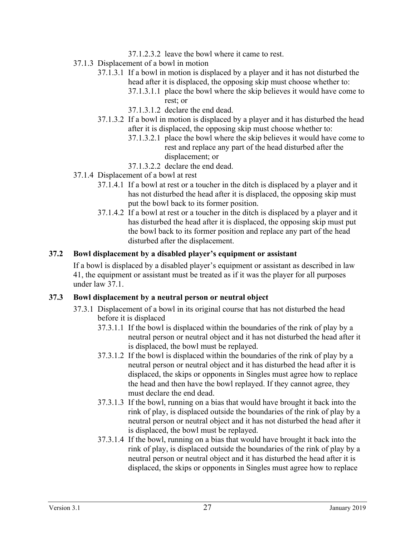- 37.1.2.3.2 leave the bowl where it came to rest.
- 37.1.3 Displacement of a bowl in motion
	- 37.1.3.1 If a bowl in motion is displaced by a player and it has not disturbed the head after it is displaced, the opposing skip must choose whether to:
		- 37.1.3.1.1 place the bowl where the skip believes it would have come to rest; or
		- 37.1.3.1.2 declare the end dead.
	- 37.1.3.2 If a bowl in motion is displaced by a player and it has disturbed the head after it is displaced, the opposing skip must choose whether to:
		- 37.1.3.2.1 place the bowl where the skip believes it would have come to rest and replace any part of the head disturbed after the displacement; or
		- 37.1.3.2.2 declare the end dead.
- 37.1.4 Displacement of a bowl at rest
	- 37.1.4.1 If a bowl at rest or a toucher in the ditch is displaced by a player and it has not disturbed the head after it is displaced, the opposing skip must put the bowl back to its former position.
	- 37.1.4.2 If a bowl at rest or a toucher in the ditch is displaced by a player and it has disturbed the head after it is displaced, the opposing skip must put the bowl back to its former position and replace any part of the head disturbed after the displacement.

#### **37.2 Bowl displacement by a disabled player's equipment or assistant**

If a bowl is displaced by a disabled player's equipment or assistant as described in law 41, the equipment or assistant must be treated as if it was the player for all purposes under law 37.1.

#### **37.3 Bowl displacement by a neutral person or neutral object**

- 37.3.1 Displacement of a bowl in its original course that has not disturbed the head before it is displaced
	- 37.3.1.1 If the bowl is displaced within the boundaries of the rink of play by a neutral person or neutral object and it has not disturbed the head after it is displaced, the bowl must be replayed.
	- 37.3.1.2 If the bowl is displaced within the boundaries of the rink of play by a neutral person or neutral object and it has disturbed the head after it is displaced, the skips or opponents in Singles must agree how to replace the head and then have the bowl replayed. If they cannot agree, they must declare the end dead.
	- 37.3.1.3 If the bowl, running on a bias that would have brought it back into the rink of play, is displaced outside the boundaries of the rink of play by a neutral person or neutral object and it has not disturbed the head after it is displaced, the bowl must be replayed.
	- 37.3.1.4 If the bowl, running on a bias that would have brought it back into the rink of play, is displaced outside the boundaries of the rink of play by a neutral person or neutral object and it has disturbed the head after it is displaced, the skips or opponents in Singles must agree how to replace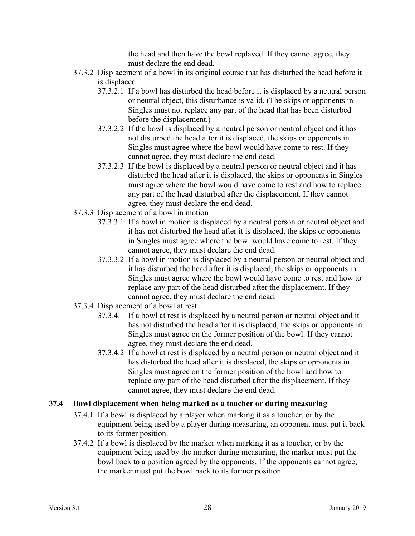the head and then have the bowl replayed. If they cannot agree, they must declare the end dead.

- 37.3.2 Displacement of a bowl in its original course that has disturbed the head before it is displaced
	- 37.3.2.1 If a bowl has disturbed the head before it is displaced by a neutral person or neutral object, this disturbance is valid. (The skips or opponents in Singles must not replace any part of the head that has been disturbed before the displacement.)
	- 37.3.2.2 If the bowl is displaced by a neutral person or neutral object and it has not disturbed the head after it is displaced, the skips or opponents in Singles must agree where the bowl would have come to rest. If they cannot agree, they must declare the end dead.
	- 37.3.2.3 If the bowl is displaced by a neutral person or neutral object and it has disturbed the head after it is displaced, the skips or opponents in Singles must agree where the bowl would have come to rest and how to replace any part of the head disturbed after the displacement. If they cannot agree, they must declare the end dead.
- 37.3.3 Displacement of a bowl in motion
	- 37.3.3.1 If a bowl in motion is displaced by a neutral person or neutral object and it has not disturbed the head after it is displaced, the skips or opponents in Singles must agree where the bowl would have come to rest. If they cannot agree, they must declare the end dead.
	- 37.3.3.2 If a bowl in motion is displaced by a neutral person or neutral object and it has disturbed the head after it is displaced, the skips or opponents in Singles must agree where the bowl would have come to rest and how to replace any part of the head disturbed after the displacement. If they cannot agree, they must declare the end dead.
- 37.3.4 Displacement of a bowl at rest
	- 37.3.4.1 If a bowl at rest is displaced by a neutral person or neutral object and it has not disturbed the head after it is displaced, the skips or opponents in Singles must agree on the former position of the bowl. If they cannot agree, they must declare the end dead.
	- 37.3.4.2 If a bowl at rest is displaced by a neutral person or neutral object and it has disturbed the head after it is displaced, the skips or opponents in Singles must agree on the former position of the bowl and how to replace any part of the head disturbed after the displacement. If they cannot agree, they must declare the end dead.

## **37.4 Bowl displacement when being marked as a toucher or during measuring**

- 37.4.1 If a bowl is displaced by a player when marking it as a toucher, or by the equipment being used by a player during measuring, an opponent must put it back to its former position.
- 37.4.2 If a bowl is displaced by the marker when marking it as a toucher, or by the equipment being used by the marker during measuring, the marker must put the bowl back to a position agreed by the opponents. If the opponents cannot agree, the marker must put the bowl back to its former position.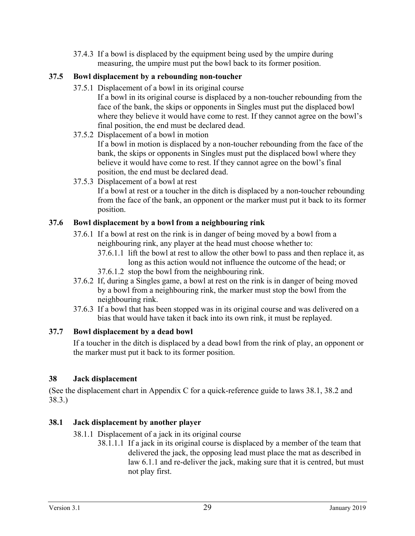37.4.3 If a bowl is displaced by the equipment being used by the umpire during measuring, the umpire must put the bowl back to its former position.

## **37.5 Bowl displacement by a rebounding non-toucher**

- 37.5.1 Displacement of a bowl in its original course
	- If a bowl in its original course is displaced by a non-toucher rebounding from the face of the bank, the skips or opponents in Singles must put the displaced bowl where they believe it would have come to rest. If they cannot agree on the bowl's final position, the end must be declared dead.
	- 37.5.2 Displacement of a bowl in motion

If a bowl in motion is displaced by a non-toucher rebounding from the face of the bank, the skips or opponents in Singles must put the displaced bowl where they believe it would have come to rest. If they cannot agree on the bowl's final position, the end must be declared dead.

37.5.3 Displacement of a bowl at rest

If a bowl at rest or a toucher in the ditch is displaced by a non-toucher rebounding from the face of the bank, an opponent or the marker must put it back to its former position.

## **37.6 Bowl displacement by a bowl from a neighbouring rink**

- 37.6.1 If a bowl at rest on the rink is in danger of being moved by a bowl from a neighbouring rink, any player at the head must choose whether to:
	- 37.6.1.1 lift the bowl at rest to allow the other bowl to pass and then replace it, as long as this action would not influence the outcome of the head; or
	- 37.6.1.2 stop the bowl from the neighbouring rink.
- 37.6.2 If, during a Singles game, a bowl at rest on the rink is in danger of being moved by a bowl from a neighbouring rink, the marker must stop the bowl from the neighbouring rink.
- 37.6.3 If a bowl that has been stopped was in its original course and was delivered on a bias that would have taken it back into its own rink, it must be replayed.

## **37.7 Bowl displacement by a dead bowl**

If a toucher in the ditch is displaced by a dead bowl from the rink of play, an opponent or the marker must put it back to its former position.

## **38 Jack displacement**

(See the displacement chart in Appendix C for a quick-reference guide to laws 38.1, 38.2 and 38.3.)

## **38.1 Jack displacement by another player**

38.1.1 Displacement of a jack in its original course

38.1.1.1 If a jack in its original course is displaced by a member of the team that delivered the jack, the opposing lead must place the mat as described in law 6.1.1 and re-deliver the jack, making sure that it is centred, but must not play first.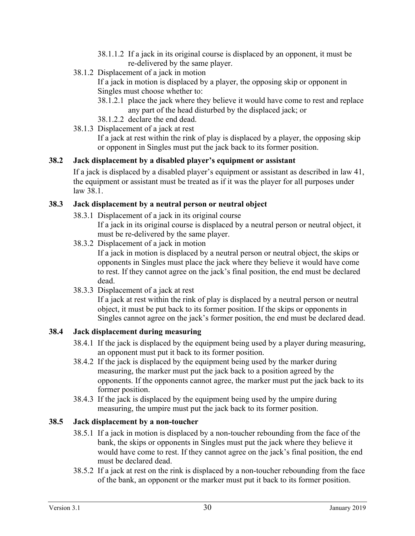- 38.1.1.2 If a jack in its original course is displaced by an opponent, it must be re-delivered by the same player.
- 38.1.2 Displacement of a jack in motion

If a jack in motion is displaced by a player, the opposing skip or opponent in Singles must choose whether to:

- 38.1.2.1 place the jack where they believe it would have come to rest and replace any part of the head disturbed by the displaced jack; or
- 38.1.2.2 declare the end dead.
- 38.1.3 Displacement of a jack at rest

If a jack at rest within the rink of play is displaced by a player, the opposing skip or opponent in Singles must put the jack back to its former position.

## **38.2 Jack displacement by a disabled player's equipment or assistant**

If a jack is displaced by a disabled player's equipment or assistant as described in law 41, the equipment or assistant must be treated as if it was the player for all purposes under law 38.1.

## **38.3 Jack displacement by a neutral person or neutral object**

38.3.1 Displacement of a jack in its original course

If a jack in its original course is displaced by a neutral person or neutral object, it must be re-delivered by the same player.

38.3.2 Displacement of a jack in motion

If a jack in motion is displaced by a neutral person or neutral object, the skips or opponents in Singles must place the jack where they believe it would have come to rest. If they cannot agree on the jack's final position, the end must be declared dead.

38.3.3 Displacement of a jack at rest

If a jack at rest within the rink of play is displaced by a neutral person or neutral object, it must be put back to its former position. If the skips or opponents in Singles cannot agree on the jack's former position, the end must be declared dead.

## **38.4 Jack displacement during measuring**

- 38.4.1 If the jack is displaced by the equipment being used by a player during measuring, an opponent must put it back to its former position.
- 38.4.2 If the jack is displaced by the equipment being used by the marker during measuring, the marker must put the jack back to a position agreed by the opponents. If the opponents cannot agree, the marker must put the jack back to its former position.
- 38.4.3 If the jack is displaced by the equipment being used by the umpire during measuring, the umpire must put the jack back to its former position.

## **38.5 Jack displacement by a non-toucher**

- 38.5.1 If a jack in motion is displaced by a non-toucher rebounding from the face of the bank, the skips or opponents in Singles must put the jack where they believe it would have come to rest. If they cannot agree on the jack's final position, the end must be declared dead.
- 38.5.2 If a jack at rest on the rink is displaced by a non-toucher rebounding from the face of the bank, an opponent or the marker must put it back to its former position.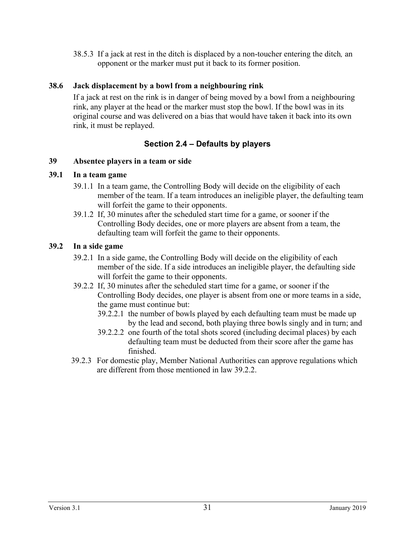38.5.3 If a jack at rest in the ditch is displaced by a non-toucher entering the ditch*,* an opponent or the marker must put it back to its former position.

#### **38.6 Jack displacement by a bowl from a neighbouring rink**

If a jack at rest on the rink is in danger of being moved by a bowl from a neighbouring rink, any player at the head or the marker must stop the bowl. If the bowl was in its original course and was delivered on a bias that would have taken it back into its own rink, it must be replayed.

## **Section 2.4 – Defaults by players**

#### **39 Absentee players in a team or side**

#### **39.1 In a team game**

- 39.1.1 In a team game, the Controlling Body will decide on the eligibility of each member of the team. If a team introduces an ineligible player, the defaulting team will forfeit the game to their opponents.
- 39.1.2 If, 30 minutes after the scheduled start time for a game, or sooner if the Controlling Body decides, one or more players are absent from a team, the defaulting team will forfeit the game to their opponents.

#### **39.2 In a side game**

- 39.2.1 In a side game, the Controlling Body will decide on the eligibility of each member of the side. If a side introduces an ineligible player, the defaulting side will forfeit the game to their opponents.
- 39.2.2 If, 30 minutes after the scheduled start time for a game, or sooner if the Controlling Body decides, one player is absent from one or more teams in a side, the game must continue but:
	- 39.2.2.1 the number of bowls played by each defaulting team must be made up by the lead and second, both playing three bowls singly and in turn; and
	- 39.2.2.2 one fourth of the total shots scored (including decimal places) by each defaulting team must be deducted from their score after the game has finished.
- 39.2.3 For domestic play, Member National Authorities can approve regulations which are different from those mentioned in law 39.2.2.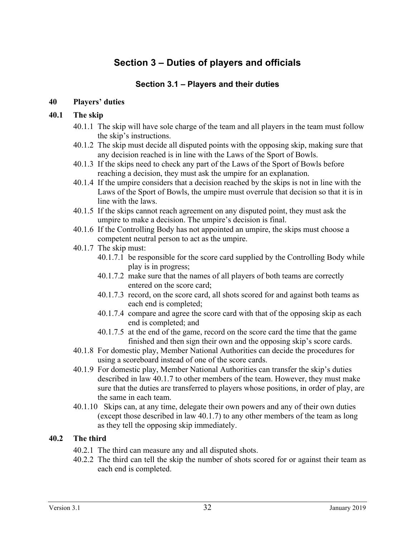# **Section 3 – Duties of players and officials**

## **Section 3.1 – Players and their duties**

#### **40 Players' duties**

#### **40.1 The skip**

- 40.1.1 The skip will have sole charge of the team and all players in the team must follow the skip's instructions.
- 40.1.2 The skip must decide all disputed points with the opposing skip, making sure that any decision reached is in line with the Laws of the Sport of Bowls.
- 40.1.3 If the skips need to check any part of the Laws of the Sport of Bowls before reaching a decision, they must ask the umpire for an explanation.
- 40.1.4 If the umpire considers that a decision reached by the skips is not in line with the Laws of the Sport of Bowls, the umpire must overrule that decision so that it is in line with the laws.
- 40.1.5 If the skips cannot reach agreement on any disputed point, they must ask the umpire to make a decision. The umpire's decision is final.
- 40.1.6 If the Controlling Body has not appointed an umpire, the skips must choose a competent neutral person to act as the umpire.
- 40.1.7 The skip must:
	- 40.1.7.1 be responsible for the score card supplied by the Controlling Body while play is in progress;
	- 40.1.7.2 make sure that the names of all players of both teams are correctly entered on the score card;
	- 40.1.7.3 record, on the score card, all shots scored for and against both teams as each end is completed;
	- 40.1.7.4 compare and agree the score card with that of the opposing skip as each end is completed; and
	- 40.1.7.5 at the end of the game, record on the score card the time that the game finished and then sign their own and the opposing skip's score cards.
- 40.1.8 For domestic play, Member National Authorities can decide the procedures for using a scoreboard instead of one of the score cards.
- 40.1.9 For domestic play, Member National Authorities can transfer the skip's duties described in law 40.1.7 to other members of the team. However, they must make sure that the duties are transferred to players whose positions, in order of play, are the same in each team.
- 40.1.10 Skips can, at any time, delegate their own powers and any of their own duties (except those described in law 40.1.7) to any other members of the team as long as they tell the opposing skip immediately.

#### **40.2 The third**

- 40.2.1 The third can measure any and all disputed shots.
- 40.2.2 The third can tell the skip the number of shots scored for or against their team as each end is completed.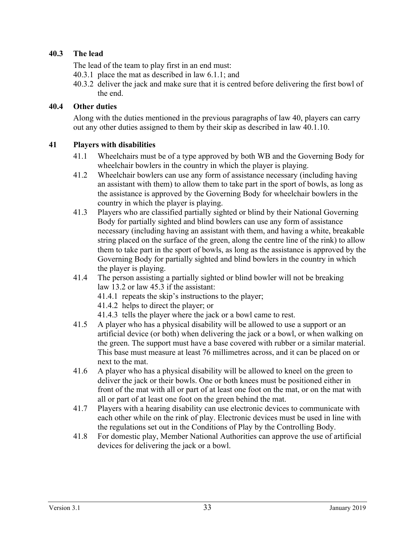## **40.3 The lead**

The lead of the team to play first in an end must:

40.3.1 place the mat as described in law 6.1.1; and

40.3.2 deliver the jack and make sure that it is centred before delivering the first bowl of the end.

#### **40.4 Other duties**

Along with the duties mentioned in the previous paragraphs of law 40, players can carry out any other duties assigned to them by their skip as described in law 40.1.10.

#### **41 Players with disabilities**

- 41.1 Wheelchairs must be of a type approved by both WB and the Governing Body for wheelchair bowlers in the country in which the player is playing.
- 41.2 Wheelchair bowlers can use any form of assistance necessary (including having an assistant with them) to allow them to take part in the sport of bowls, as long as the assistance is approved by the Governing Body for wheelchair bowlers in the country in which the player is playing.
- 41.3 Players who are classified partially sighted or blind by their National Governing Body for partially sighted and blind bowlers can use any form of assistance necessary (including having an assistant with them, and having a white, breakable string placed on the surface of the green, along the centre line of the rink) to allow them to take part in the sport of bowls, as long as the assistance is approved by the Governing Body for partially sighted and blind bowlers in the country in which the player is playing.
- 41.4 The person assisting a partially sighted or blind bowler will not be breaking law 13.2 or law 45.3 if the assistant:
	- 41.4.1 repeats the skip's instructions to the player;
	- 41.4.2 helps to direct the player; or
	- 41.4.3 tells the player where the jack or a bowl came to rest.
- 41.5 A player who has a physical disability will be allowed to use a support or an artificial device (or both) when delivering the jack or a bowl, or when walking on the green. The support must have a base covered with rubber or a similar material. This base must measure at least 76 millimetres across, and it can be placed on or next to the mat.
- 41.6 A player who has a physical disability will be allowed to kneel on the green to deliver the jack or their bowls. One or both knees must be positioned either in front of the mat with all or part of at least one foot on the mat, or on the mat with all or part of at least one foot on the green behind the mat.
- 41.7 Players with a hearing disability can use electronic devices to communicate with each other while on the rink of play. Electronic devices must be used in line with the regulations set out in the Conditions of Play by the Controlling Body.
- 41.8 For domestic play, Member National Authorities can approve the use of artificial devices for delivering the jack or a bowl.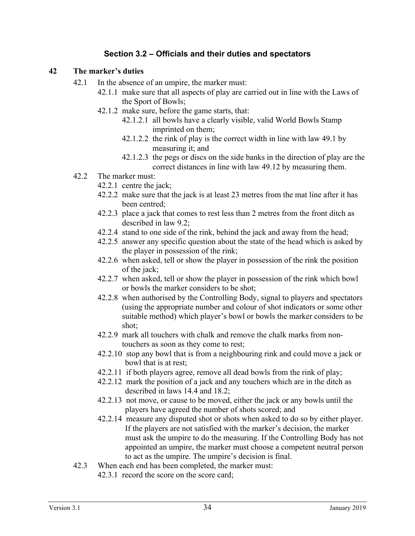## **Section 3.2 – Officials and their duties and spectators**

#### **42 The marker's duties**

- 42.1 In the absence of an umpire, the marker must:
	- 42.1.1 make sure that all aspects of play are carried out in line with the Laws of the Sport of Bowls;
	- 42.1.2 make sure, before the game starts, that:
		- 42.1.2.1 all bowls have a clearly visible, valid World Bowls Stamp imprinted on them;
		- 42.1.2.2 the rink of play is the correct width in line with law 49.1 by measuring it; and
		- 42.1.2.3 the pegs or discs on the side banks in the direction of play are the correct distances in line with law 49.12 by measuring them.
- 42.2 The marker must:
	- 42.2.1 centre the jack;
	- 42.2.2 make sure that the jack is at least 23 metres from the mat line after it has been centred;
	- 42.2.3 place a jack that comes to rest less than 2 metres from the front ditch as described in law 9.2;
	- 42.2.4 stand to one side of the rink, behind the jack and away from the head;
	- 42.2.5 answer any specific question about the state of the head which is asked by the player in possession of the rink;
	- 42.2.6 when asked, tell or show the player in possession of the rink the position of the jack;
	- 42.2.7 when asked, tell or show the player in possession of the rink which bowl or bowls the marker considers to be shot;
	- 42.2.8 when authorised by the Controlling Body, signal to players and spectators (using the appropriate number and colour of shot indicators or some other suitable method) which player's bowl or bowls the marker considers to be shot;
	- 42.2.9 mark all touchers with chalk and remove the chalk marks from nontouchers as soon as they come to rest;
	- 42.2.10 stop any bowl that is from a neighbouring rink and could move a jack or bowl that is at rest;
	- 42.2.11 if both players agree, remove all dead bowls from the rink of play;
	- 42.2.12 mark the position of a jack and any touchers which are in the ditch as described in laws 14.4 and 18.2;
	- 42.2.13 not move, or cause to be moved, either the jack or any bowls until the players have agreed the number of shots scored; and
	- 42.2.14 measure any disputed shot or shots when asked to do so by either player. If the players are not satisfied with the marker's decision, the marker must ask the umpire to do the measuring. If the Controlling Body has not appointed an umpire, the marker must choose a competent neutral person to act as the umpire. The umpire's decision is final.
- 42.3 When each end has been completed, the marker must:
	- 42.3.1 record the score on the score card;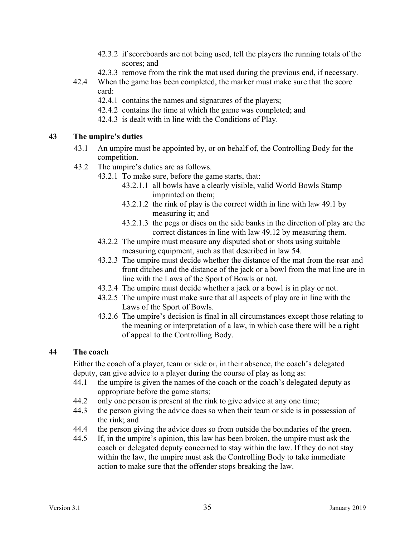- 42.3.2 if scoreboards are not being used, tell the players the running totals of the scores; and
- 42.3.3 remove from the rink the mat used during the previous end, if necessary.
- 42.4 When the game has been completed, the marker must make sure that the score card:
	- 42.4.1 contains the names and signatures of the players;
	- 42.4.2 contains the time at which the game was completed; and
	- 42.4.3 is dealt with in line with the Conditions of Play.

#### **43 The umpire's duties**

- 43.1 An umpire must be appointed by, or on behalf of, the Controlling Body for the competition.
- 43.2 The umpire's duties are as follows.
	- 43.2.1 To make sure, before the game starts, that:
		- 43.2.1.1 all bowls have a clearly visible, valid World Bowls Stamp imprinted on them;
		- 43.2.1.2 the rink of play is the correct width in line with law 49.1 by measuring it; and
		- 43.2.1.3 the pegs or discs on the side banks in the direction of play are the correct distances in line with law 49.12 by measuring them.
	- 43.2.2 The umpire must measure any disputed shot or shots using suitable measuring equipment, such as that described in law 54.
	- 43.2.3 The umpire must decide whether the distance of the mat from the rear and front ditches and the distance of the jack or a bowl from the mat line are in line with the Laws of the Sport of Bowls or not.
	- 43.2.4 The umpire must decide whether a jack or a bowl is in play or not.
	- 43.2.5 The umpire must make sure that all aspects of play are in line with the Laws of the Sport of Bowls.
	- 43.2.6 The umpire's decision is final in all circumstances except those relating to the meaning or interpretation of a law, in which case there will be a right of appeal to the Controlling Body.

#### **44 The coach**

Either the coach of a player, team or side or, in their absence, the coach's delegated deputy, can give advice to a player during the course of play as long as:

- 44.1 the umpire is given the names of the coach or the coach's delegated deputy as appropriate before the game starts;
- 44.2 only one person is present at the rink to give advice at any one time;
- 44.3 the person giving the advice does so when their team or side is in possession of the rink; and
- 44.4 the person giving the advice does so from outside the boundaries of the green.
- 44.5 If, in the umpire's opinion, this law has been broken, the umpire must ask the coach or delegated deputy concerned to stay within the law. If they do not stay within the law, the umpire must ask the Controlling Body to take immediate action to make sure that the offender stops breaking the law.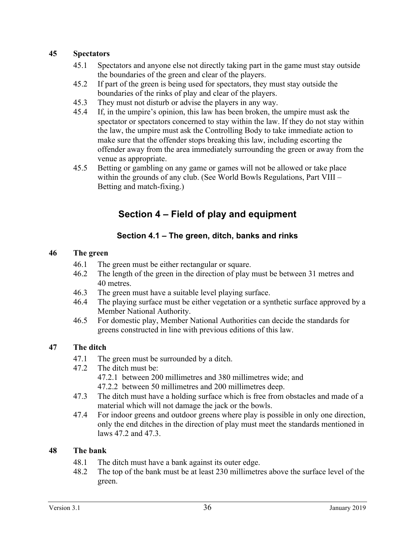#### **45 Spectators**

- 45.1 Spectators and anyone else not directly taking part in the game must stay outside the boundaries of the green and clear of the players.
- 45.2 If part of the green is being used for spectators, they must stay outside the boundaries of the rinks of play and clear of the players.
- 45.3 They must not disturb or advise the players in any way.
- 45.4 If, in the umpire's opinion, this law has been broken, the umpire must ask the spectator or spectators concerned to stay within the law. If they do not stay within the law, the umpire must ask the Controlling Body to take immediate action to make sure that the offender stops breaking this law, including escorting the offender away from the area immediately surrounding the green or away from the venue as appropriate.
- 45.5 Betting or gambling on any game or games will not be allowed or take place within the grounds of any club. (See World Bowls Regulations, Part VIII – Betting and match-fixing.)

# **Section 4 – Field of play and equipment**

## **Section 4.1 – The green, ditch, banks and rinks**

#### **46 The green**

- 46.1 The green must be either rectangular or square.
- 46.2 The length of the green in the direction of play must be between 31 metres and 40 metres.
- 46.3 The green must have a suitable level playing surface.
- 46.4 The playing surface must be either vegetation or a synthetic surface approved by a Member National Authority.
- 46.5 For domestic play, Member National Authorities can decide the standards for greens constructed in line with previous editions of this law.

#### **47 The ditch**

- 47.1 The green must be surrounded by a ditch.
- 47.2 The ditch must be: 47.2.1 between 200 millimetres and 380 millimetres wide; and
	- 47.2.2 between 50 millimetres and 200 millimetres deep.
- 47.3 The ditch must have a holding surface which is free from obstacles and made of a material which will not damage the jack or the bowls.
- 47.4 For indoor greens and outdoor greens where play is possible in only one direction, only the end ditches in the direction of play must meet the standards mentioned in laws 47.2 and 47.3.

#### **48 The bank**

- 48.1 The ditch must have a bank against its outer edge.
- 48.2 The top of the bank must be at least 230 millimetres above the surface level of the green.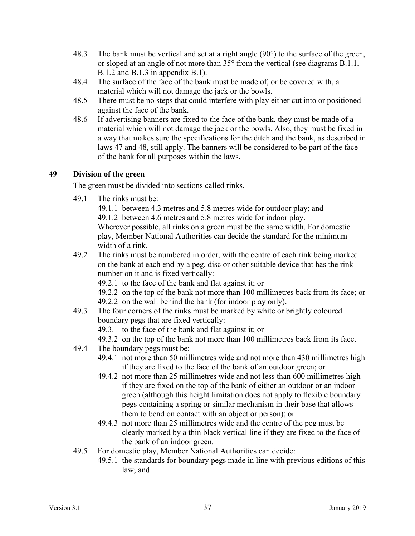- 48.3 The bank must be vertical and set at a right angle (90°) to the surface of the green, or sloped at an angle of not more than 35° from the vertical (see diagrams B.1.1, B.1.2 and B.1.3 in appendix B.1).
- 48.4 The surface of the face of the bank must be made of, or be covered with, a material which will not damage the jack or the bowls.
- 48.5 There must be no steps that could interfere with play either cut into or positioned against the face of the bank.
- 48.6 If advertising banners are fixed to the face of the bank, they must be made of a material which will not damage the jack or the bowls. Also, they must be fixed in a way that makes sure the specifications for the ditch and the bank, as described in laws 47 and 48, still apply. The banners will be considered to be part of the face of the bank for all purposes within the laws.

## **49 Division of the green**

The green must be divided into sections called rinks.

49.1 The rinks must be:

49.1.1 between 4.3 metres and 5.8 metres wide for outdoor play; and 49.1.2 between 4.6 metres and 5.8 metres wide for indoor play.

Wherever possible, all rinks on a green must be the same width. For domestic play, Member National Authorities can decide the standard for the minimum width of a rink.

49.2 The rinks must be numbered in order, with the centre of each rink being marked on the bank at each end by a peg, disc or other suitable device that has the rink number on it and is fixed vertically:

49.2.1 to the face of the bank and flat against it; or

49.2.2 on the top of the bank not more than 100 millimetres back from its face; or

49.2.2 on the wall behind the bank (for indoor play only).

49.3 The four corners of the rinks must be marked by white or brightly coloured boundary pegs that are fixed vertically:

49.3.1 to the face of the bank and flat against it; or

- 49.3.2 on the top of the bank not more than 100 millimetres back from its face.
- 49.4 The boundary pegs must be:
	- 49.4.1 not more than 50 millimetres wide and not more than 430 millimetres high if they are fixed to the face of the bank of an outdoor green; or
	- 49.4.2 not more than 25 millimetres wide and not less than 600 millimetres high if they are fixed on the top of the bank of either an outdoor or an indoor green (although this height limitation does not apply to flexible boundary pegs containing a spring or similar mechanism in their base that allows them to bend on contact with an object or person); or
	- 49.4.3 not more than 25 millimetres wide and the centre of the peg must be clearly marked by a thin black vertical line if they are fixed to the face of the bank of an indoor green.
- 49.5 For domestic play, Member National Authorities can decide:
	- 49.5.1 the standards for boundary pegs made in line with previous editions of this law; and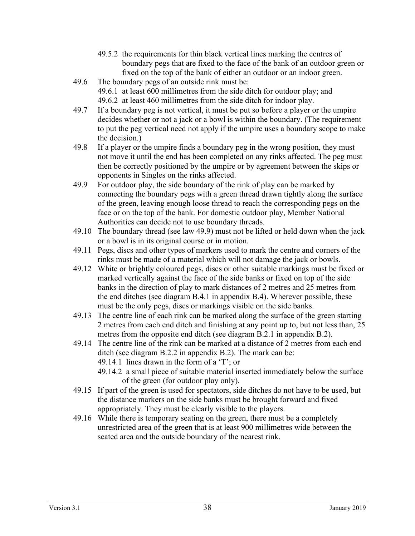- 49.5.2 the requirements for thin black vertical lines marking the centres of boundary pegs that are fixed to the face of the bank of an outdoor green or fixed on the top of the bank of either an outdoor or an indoor green.
- 49.6 The boundary pegs of an outside rink must be: 49.6.1 at least 600 millimetres from the side ditch for outdoor play; and 49.6.2 at least 460 millimetres from the side ditch for indoor play.
- 49.7 If a boundary peg is not vertical, it must be put so before a player or the umpire decides whether or not a jack or a bowl is within the boundary. (The requirement to put the peg vertical need not apply if the umpire uses a boundary scope to make the decision.)
- 49.8 If a player or the umpire finds a boundary peg in the wrong position, they must not move it until the end has been completed on any rinks affected. The peg must then be correctly positioned by the umpire or by agreement between the skips or opponents in Singles on the rinks affected.
- 49.9 For outdoor play, the side boundary of the rink of play can be marked by connecting the boundary pegs with a green thread drawn tightly along the surface of the green, leaving enough loose thread to reach the corresponding pegs on the face or on the top of the bank. For domestic outdoor play, Member National Authorities can decide not to use boundary threads.
- 49.10 The boundary thread (see law 49.9) must not be lifted or held down when the jack or a bowl is in its original course or in motion.
- 49.11 Pegs, discs and other types of markers used to mark the centre and corners of the rinks must be made of a material which will not damage the jack or bowls.
- 49.12 White or brightly coloured pegs, discs or other suitable markings must be fixed or marked vertically against the face of the side banks or fixed on top of the side banks in the direction of play to mark distances of 2 metres and 25 metres from the end ditches (see diagram B.4.1 in appendix B.4). Wherever possible, these must be the only pegs, discs or markings visible on the side banks.
- 49.13 The centre line of each rink can be marked along the surface of the green starting 2 metres from each end ditch and finishing at any point up to, but not less than, 25 metres from the opposite end ditch (see diagram B.2.1 in appendix B.2).
- 49.14 The centre line of the rink can be marked at a distance of 2 metres from each end ditch (see diagram B.2.2 in appendix B.2). The mark can be:
	- 49.14.1 lines drawn in the form of a 'T'; or
	- 49.14.2 a small piece of suitable material inserted immediately below the surface of the green (for outdoor play only).
- 49.15 If part of the green is used for spectators, side ditches do not have to be used, but the distance markers on the side banks must be brought forward and fixed appropriately. They must be clearly visible to the players.
- 49.16 While there is temporary seating on the green, there must be a completely unrestricted area of the green that is at least 900 millimetres wide between the seated area and the outside boundary of the nearest rink.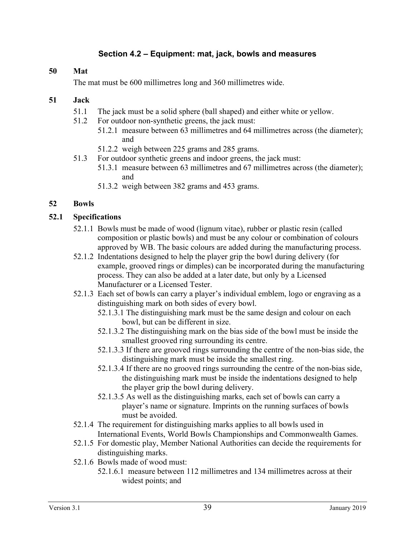## **Section 4.2 – Equipment: mat, jack, bowls and measures**

#### **50 Mat**

The mat must be 600 millimetres long and 360 millimetres wide.

#### **51 Jack**

- 51.1 The jack must be a solid sphere (ball shaped) and either white or yellow.
- 51.2 For outdoor non-synthetic greens, the jack must:
	- 51.2.1 measure between 63 millimetres and 64 millimetres across (the diameter); and
	- 51.2.2 weigh between 225 grams and 285 grams.
- 51.3 For outdoor synthetic greens and indoor greens, the jack must:
	- 51.3.1 measure between 63 millimetres and 67 millimetres across (the diameter); and
	- 51.3.2 weigh between 382 grams and 453 grams.

#### **52 Bowls**

#### **52.1 Specifications**

- 52.1.1 Bowls must be made of wood (lignum vitae), rubber or plastic resin (called composition or plastic bowls) and must be any colour or combination of colours approved by WB. The basic colours are added during the manufacturing process.
- 52.1.2 Indentations designed to help the player grip the bowl during delivery (for example, grooved rings or dimples) can be incorporated during the manufacturing process. They can also be added at a later date, but only by a Licensed Manufacturer or a Licensed Tester.
- 52.1.3 Each set of bowls can carry a player's individual emblem, logo or engraving as a distinguishing mark on both sides of every bowl.
	- 52.1.3.1 The distinguishing mark must be the same design and colour on each bowl, but can be different in size.
	- 52.1.3.2 The distinguishing mark on the bias side of the bowl must be inside the smallest grooved ring surrounding its centre.
	- 52.1.3.3 If there are grooved rings surrounding the centre of the non-bias side, the distinguishing mark must be inside the smallest ring.
	- 52.1.3.4 If there are no grooved rings surrounding the centre of the non-bias side, the distinguishing mark must be inside the indentations designed to help the player grip the bowl during delivery.
	- 52.1.3.5 As well as the distinguishing marks, each set of bowls can carry a player's name or signature. Imprints on the running surfaces of bowls must be avoided.
- 52.1.4 The requirement for distinguishing marks applies to all bowls used in International Events, World Bowls Championships and Commonwealth Games.
- 52.1.5 For domestic play, Member National Authorities can decide the requirements for distinguishing marks.
- 52.1.6 Bowls made of wood must:
	- 52.1.6.1 measure between 112 millimetres and 134 millimetres across at their widest points; and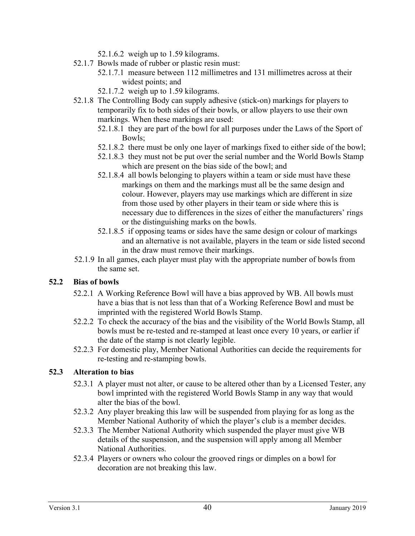52.1.6.2 weigh up to 1.59 kilograms.

- 52.1.7 Bowls made of rubber or plastic resin must:
	- 52.1.7.1 measure between 112 millimetres and 131 millimetres across at their widest points; and
	- 52.1.7.2 weigh up to 1.59 kilograms.
- 52.1.8 The Controlling Body can supply adhesive (stick-on) markings for players to temporarily fix to both sides of their bowls, or allow players to use their own markings. When these markings are used:
	- 52.1.8.1 they are part of the bowl for all purposes under the Laws of the Sport of Bowls;
	- 52.1.8.2 there must be only one layer of markings fixed to either side of the bowl;
	- 52.1.8.3 they must not be put over the serial number and the World Bowls Stamp which are present on the bias side of the bowl; and
	- 52.1.8.4 all bowls belonging to players within a team or side must have these markings on them and the markings must all be the same design and colour. However, players may use markings which are different in size from those used by other players in their team or side where this is necessary due to differences in the sizes of either the manufacturers' rings or the distinguishing marks on the bowls.
	- 52.1.8.5 if opposing teams or sides have the same design or colour of markings and an alternative is not available, players in the team or side listed second in the draw must remove their markings.
- 52.1.9 In all games, each player must play with the appropriate number of bowls from the same set.

#### **52.2 Bias of bowls**

- 52.2.1 A Working Reference Bowl will have a bias approved by WB. All bowls must have a bias that is not less than that of a Working Reference Bowl and must be imprinted with the registered World Bowls Stamp.
- 52.2.2 To check the accuracy of the bias and the visibility of the World Bowls Stamp, all bowls must be re-tested and re-stamped at least once every 10 years, or earlier if the date of the stamp is not clearly legible.
- 52.2.3 For domestic play, Member National Authorities can decide the requirements for re-testing and re-stamping bowls.

## **52.3 Alteration to bias**

- 52.3.1 A player must not alter, or cause to be altered other than by a Licensed Tester, any bowl imprinted with the registered World Bowls Stamp in any way that would alter the bias of the bowl.
- 52.3.2 Any player breaking this law will be suspended from playing for as long as the Member National Authority of which the player's club is a member decides.
- 52.3.3 The Member National Authority which suspended the player must give WB details of the suspension, and the suspension will apply among all Member National Authorities.
- 52.3.4 Players or owners who colour the grooved rings or dimples on a bowl for decoration are not breaking this law.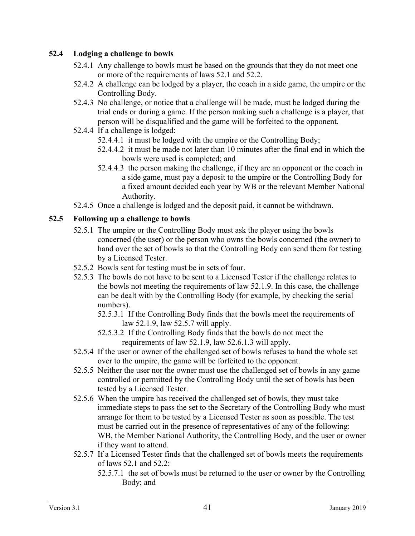## **52.4 Lodging a challenge to bowls**

- 52.4.1 Any challenge to bowls must be based on the grounds that they do not meet one or more of the requirements of laws 52.1 and 52.2.
- 52.4.2 A challenge can be lodged by a player, the coach in a side game, the umpire or the Controlling Body.
- 52.4.3 No challenge, or notice that a challenge will be made, must be lodged during the trial ends or during a game. If the person making such a challenge is a player, that person will be disqualified and the game will be forfeited to the opponent.
- 52.4.4 If a challenge is lodged:
	- 52.4.4.1 it must be lodged with the umpire or the Controlling Body;
	- 52.4.4.2 it must be made not later than 10 minutes after the final end in which the bowls were used is completed; and
	- 52.4.4.3 the person making the challenge, if they are an opponent or the coach in a side game, must pay a deposit to the umpire or the Controlling Body for a fixed amount decided each year by WB or the relevant Member National Authority.
- 52.4.5 Once a challenge is lodged and the deposit paid, it cannot be withdrawn.

## **52.5 Following up a challenge to bowls**

- 52.5.1 The umpire or the Controlling Body must ask the player using the bowls concerned (the user) or the person who owns the bowls concerned (the owner) to hand over the set of bowls so that the Controlling Body can send them for testing by a Licensed Tester.
- 52.5.2 Bowls sent for testing must be in sets of four.
- 52.5.3 The bowls do not have to be sent to a Licensed Tester if the challenge relates to the bowls not meeting the requirements of law 52.1.9. In this case, the challenge can be dealt with by the Controlling Body (for example, by checking the serial numbers).
	- 52.5.3.1 If the Controlling Body finds that the bowls meet the requirements of law 52.1.9, law 52.5.7 will apply.
	- 52.5.3.2 If the Controlling Body finds that the bowls do not meet the requirements of law 52.1.9, law 52.6.1.3 will apply.
- 52.5.4 If the user or owner of the challenged set of bowls refuses to hand the whole set over to the umpire, the game will be forfeited to the opponent.
- 52.5.5 Neither the user nor the owner must use the challenged set of bowls in any game controlled or permitted by the Controlling Body until the set of bowls has been tested by a Licensed Tester.
- 52.5.6 When the umpire has received the challenged set of bowls, they must take immediate steps to pass the set to the Secretary of the Controlling Body who must arrange for them to be tested by a Licensed Tester as soon as possible. The test must be carried out in the presence of representatives of any of the following: WB, the Member National Authority, the Controlling Body, and the user or owner if they want to attend.
- 52.5.7 If a Licensed Tester finds that the challenged set of bowls meets the requirements of laws 52.1 and 52.2:
	- 52.5.7.1 the set of bowls must be returned to the user or owner by the Controlling Body; and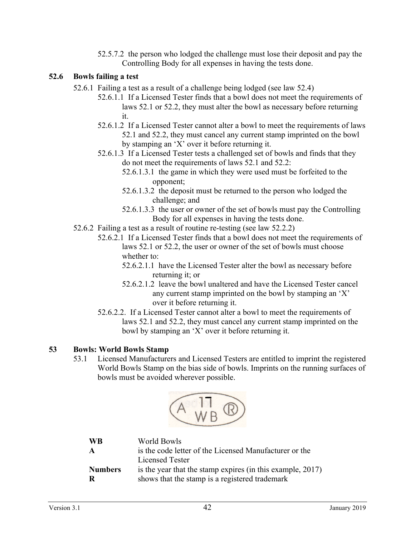52.5.7.2 the person who lodged the challenge must lose their deposit and pay the Controlling Body for all expenses in having the tests done.

#### **52.6 Bowls failing a test**

- 52.6.1 Failing a test as a result of a challenge being lodged (see law 52.4)
	- 52.6.1.1 If a Licensed Tester finds that a bowl does not meet the requirements of laws 52.1 or 52.2, they must alter the bowl as necessary before returning it.
	- 52.6.1.2 If a Licensed Tester cannot alter a bowl to meet the requirements of laws 52.1 and 52.2, they must cancel any current stamp imprinted on the bowl by stamping an 'X' over it before returning it.
	- 52.6.1.3 If a Licensed Tester tests a challenged set of bowls and finds that they do not meet the requirements of laws 52.1 and 52.2:
		- 52.6.1.3.1 the game in which they were used must be forfeited to the opponent;
		- 52.6.1.3.2 the deposit must be returned to the person who lodged the challenge; and
		- 52.6.1.3.3 the user or owner of the set of bowls must pay the Controlling Body for all expenses in having the tests done.
- 52.6.2 Failing a test as a result of routine re-testing (see law 52.2.2)
	- 52.6.2.1 If a Licensed Tester finds that a bowl does not meet the requirements of laws 52.1 or 52.2, the user or owner of the set of bowls must choose whether to:
		- 52.6.2.1.1 have the Licensed Tester alter the bowl as necessary before returning it; or
		- 52.6.2.1.2 leave the bowl unaltered and have the Licensed Tester cancel any current stamp imprinted on the bowl by stamping an 'X' over it before returning it.
	- 52.6.2.2. If a Licensed Tester cannot alter a bowl to meet the requirements of laws 52.1 and 52.2, they must cancel any current stamp imprinted on the bowl by stamping an 'X' over it before returning it.

#### **53 Bowls: World Bowls Stamp**

53.1 Licensed Manufacturers and Licensed Testers are entitled to imprint the registered World Bowls Stamp on the bias side of bowls. Imprints on the running surfaces of bowls must be avoided wherever possible.



| <b>WB</b>      | World Bowls                                                |
|----------------|------------------------------------------------------------|
| $\mathbf{A}$   | is the code letter of the Licensed Manufacturer or the     |
|                | Licensed Tester                                            |
| <b>Numbers</b> | is the year that the stamp expires (in this example, 2017) |
| R              | shows that the stamp is a registered trademark             |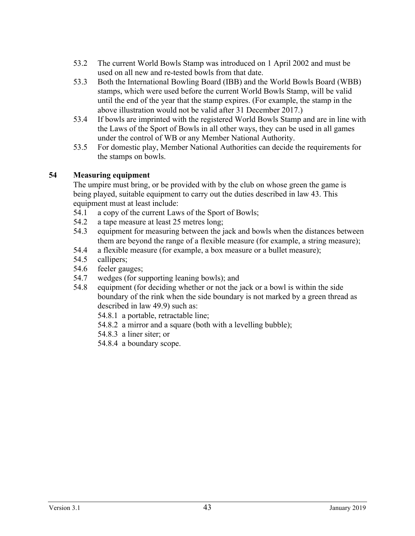- 53.2 The current World Bowls Stamp was introduced on 1 April 2002 and must be used on all new and re-tested bowls from that date.
- 53.3 Both the International Bowling Board (IBB) and the World Bowls Board (WBB) stamps, which were used before the current World Bowls Stamp, will be valid until the end of the year that the stamp expires. (For example, the stamp in the above illustration would not be valid after 31 December 2017.)
- 53.4 If bowls are imprinted with the registered World Bowls Stamp and are in line with the Laws of the Sport of Bowls in all other ways, they can be used in all games under the control of WB or any Member National Authority.
- 53.5 For domestic play, Member National Authorities can decide the requirements for the stamps on bowls.

## **54 Measuring equipment**

The umpire must bring, or be provided with by the club on whose green the game is being played, suitable equipment to carry out the duties described in law 43. This equipment must at least include:

- 54.1 a copy of the current Laws of the Sport of Bowls;
- 54.2 a tape measure at least 25 metres long;
- 54.3 equipment for measuring between the jack and bowls when the distances between them are beyond the range of a flexible measure (for example, a string measure);
- 54.4 a flexible measure (for example, a box measure or a bullet measure);
- 54.5 callipers;
- 54.6 feeler gauges;
- 54.7 wedges (for supporting leaning bowls); and
- 54.8 equipment (for deciding whether or not the jack or a bowl is within the side boundary of the rink when the side boundary is not marked by a green thread as described in law 49.9) such as:
	- 54.8.1 a portable, retractable line;
	- 54.8.2 a mirror and a square (both with a levelling bubble);
	- 54.8.3 a liner siter; or
	- 54.8.4 a boundary scope.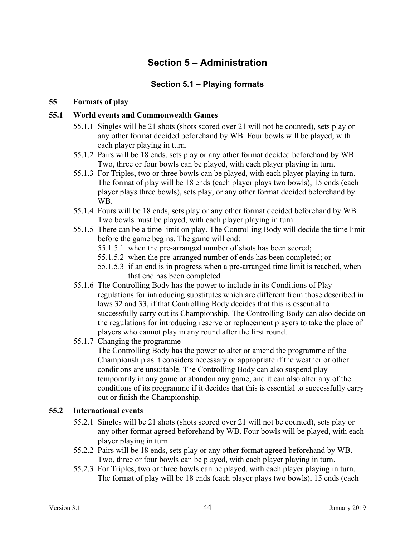# **Section 5 – Administration**

## **Section 5.1 – Playing formats**

### **55 Formats of play**

### **55.1 World events and Commonwealth Games**

- 55.1.1 Singles will be 21 shots (shots scored over 21 will not be counted), sets play or any other format decided beforehand by WB. Four bowls will be played, with each player playing in turn.
- 55.1.2 Pairs will be 18 ends, sets play or any other format decided beforehand by WB. Two, three or four bowls can be played, with each player playing in turn.
- 55.1.3 For Triples, two or three bowls can be played, with each player playing in turn. The format of play will be 18 ends (each player plays two bowls), 15 ends (each player plays three bowls), sets play, or any other format decided beforehand by WB.
- 55.1.4 Fours will be 18 ends, sets play or any other format decided beforehand by WB. Two bowls must be played, with each player playing in turn.
- 55.1.5 There can be a time limit on play. The Controlling Body will decide the time limit before the game begins. The game will end:
	- 55.1.5.1 when the pre-arranged number of shots has been scored;
	- 55.1.5.2 when the pre-arranged number of ends has been completed; or
	- 55.1.5.3 if an end is in progress when a pre-arranged time limit is reached, when that end has been completed.
- 55.1.6 The Controlling Body has the power to include in its Conditions of Play regulations for introducing substitutes which are different from those described in laws 32 and 33, if that Controlling Body decides that this is essential to successfully carry out its Championship. The Controlling Body can also decide on the regulations for introducing reserve or replacement players to take the place of players who cannot play in any round after the first round.
- 55.1.7 Changing the programme

The Controlling Body has the power to alter or amend the programme of the Championship as it considers necessary or appropriate if the weather or other conditions are unsuitable. The Controlling Body can also suspend play temporarily in any game or abandon any game, and it can also alter any of the conditions of its programme if it decides that this is essential to successfully carry out or finish the Championship.

#### **55.2 International events**

- 55.2.1 Singles will be 21 shots (shots scored over 21 will not be counted), sets play or any other format agreed beforehand by WB. Four bowls will be played, with each player playing in turn.
- 55.2.2 Pairs will be 18 ends, sets play or any other format agreed beforehand by WB. Two, three or four bowls can be played, with each player playing in turn.
- 55.2.3 For Triples, two or three bowls can be played, with each player playing in turn. The format of play will be 18 ends (each player plays two bowls), 15 ends (each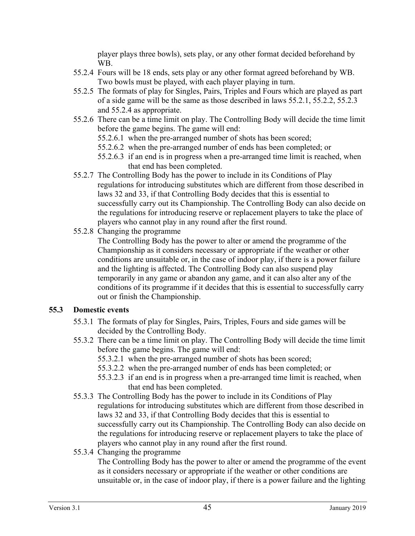player plays three bowls), sets play, or any other format decided beforehand by WB.

- 55.2.4 Fours will be 18 ends, sets play or any other format agreed beforehand by WB. Two bowls must be played, with each player playing in turn.
- 55.2.5 The formats of play for Singles, Pairs, Triples and Fours which are played as part of a side game will be the same as those described in laws 55.2.1, 55.2.2, 55.2.3 and 55.2.4 as appropriate.
- 55.2.6 There can be a time limit on play. The Controlling Body will decide the time limit before the game begins. The game will end:
	- 55.2.6.1 when the pre-arranged number of shots has been scored;
	- 55.2.6.2 when the pre-arranged number of ends has been completed; or
	- 55.2.6.3 if an end is in progress when a pre-arranged time limit is reached, when that end has been completed.
- 55.2.7 The Controlling Body has the power to include in its Conditions of Play regulations for introducing substitutes which are different from those described in laws 32 and 33, if that Controlling Body decides that this is essential to successfully carry out its Championship. The Controlling Body can also decide on the regulations for introducing reserve or replacement players to take the place of players who cannot play in any round after the first round.
- 55.2.8 Changing the programme

The Controlling Body has the power to alter or amend the programme of the Championship as it considers necessary or appropriate if the weather or other conditions are unsuitable or, in the case of indoor play, if there is a power failure and the lighting is affected. The Controlling Body can also suspend play temporarily in any game or abandon any game, and it can also alter any of the conditions of its programme if it decides that this is essential to successfully carry out or finish the Championship.

#### **55.3 Domestic events**

- 55.3.1 The formats of play for Singles, Pairs, Triples, Fours and side games will be decided by the Controlling Body.
- 55.3.2 There can be a time limit on play. The Controlling Body will decide the time limit before the game begins. The game will end:
	- 55.3.2.1 when the pre-arranged number of shots has been scored;
	- 55.3.2.2 when the pre-arranged number of ends has been completed; or
	- 55.3.2.3 if an end is in progress when a pre-arranged time limit is reached, when that end has been completed.
- 55.3.3 The Controlling Body has the power to include in its Conditions of Play regulations for introducing substitutes which are different from those described in laws 32 and 33, if that Controlling Body decides that this is essential to successfully carry out its Championship. The Controlling Body can also decide on the regulations for introducing reserve or replacement players to take the place of players who cannot play in any round after the first round.
- 55.3.4 Changing the programme

The Controlling Body has the power to alter or amend the programme of the event as it considers necessary or appropriate if the weather or other conditions are unsuitable or, in the case of indoor play, if there is a power failure and the lighting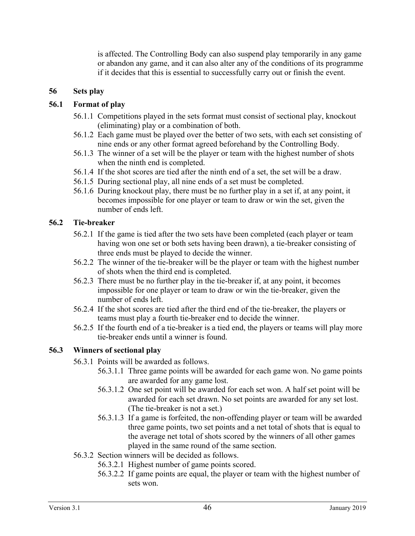is affected. The Controlling Body can also suspend play temporarily in any game or abandon any game, and it can also alter any of the conditions of its programme if it decides that this is essential to successfully carry out or finish the event.

## **56 Sets play**

## **56.1 Format of play**

- 56.1.1 Competitions played in the sets format must consist of sectional play, knockout (eliminating) play or a combination of both.
- 56.1.2 Each game must be played over the better of two sets, with each set consisting of nine ends or any other format agreed beforehand by the Controlling Body.
- 56.1.3 The winner of a set will be the player or team with the highest number of shots when the ninth end is completed.
- 56.1.4 If the shot scores are tied after the ninth end of a set, the set will be a draw.
- 56.1.5 During sectional play, all nine ends of a set must be completed.
- 56.1.6 During knockout play, there must be no further play in a set if, at any point, it becomes impossible for one player or team to draw or win the set, given the number of ends left.

## **56.2 Tie-breaker**

- 56.2.1 If the game is tied after the two sets have been completed (each player or team having won one set or both sets having been drawn), a tie-breaker consisting of three ends must be played to decide the winner.
- 56.2.2 The winner of the tie-breaker will be the player or team with the highest number of shots when the third end is completed.
- 56.2.3 There must be no further play in the tie-breaker if, at any point, it becomes impossible for one player or team to draw or win the tie-breaker, given the number of ends left.
- 56.2.4 If the shot scores are tied after the third end of the tie-breaker, the players or teams must play a fourth tie-breaker end to decide the winner.
- 56.2.5 If the fourth end of a tie-breaker is a tied end, the players or teams will play more tie-breaker ends until a winner is found.

## **56.3 Winners of sectional play**

- 56.3.1 Points will be awarded as follows.
	- 56.3.1.1 Three game points will be awarded for each game won. No game points are awarded for any game lost.
	- 56.3.1.2 One set point will be awarded for each set won. A half set point will be awarded for each set drawn. No set points are awarded for any set lost. (The tie-breaker is not a set.)
	- 56.3.1.3 If a game is forfeited, the non-offending player or team will be awarded three game points, two set points and a net total of shots that is equal to the average net total of shots scored by the winners of all other games played in the same round of the same section.
- 56.3.2 Section winners will be decided as follows.
	- 56.3.2.1 Highest number of game points scored.
	- 56.3.2.2 If game points are equal, the player or team with the highest number of sets won.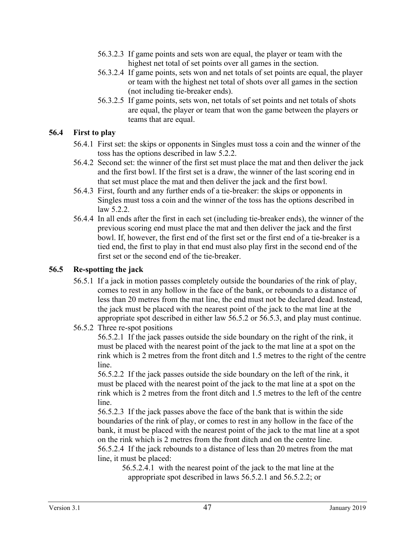- 56.3.2.3 If game points and sets won are equal, the player or team with the highest net total of set points over all games in the section.
- 56.3.2.4 If game points, sets won and net totals of set points are equal, the player or team with the highest net total of shots over all games in the section (not including tie-breaker ends).
- 56.3.2.5 If game points, sets won, net totals of set points and net totals of shots are equal, the player or team that won the game between the players or teams that are equal.

#### **56.4 First to play**

- 56.4.1 First set: the skips or opponents in Singles must toss a coin and the winner of the toss has the options described in law 5.2.2.
- 56.4.2 Second set: the winner of the first set must place the mat and then deliver the jack and the first bowl. If the first set is a draw, the winner of the last scoring end in that set must place the mat and then deliver the jack and the first bowl.
- 56.4.3 First, fourth and any further ends of a tie-breaker: the skips or opponents in Singles must toss a coin and the winner of the toss has the options described in law 5.2.2.
- 56.4.4 In all ends after the first in each set (including tie-breaker ends), the winner of the previous scoring end must place the mat and then deliver the jack and the first bowl. If, however, the first end of the first set or the first end of a tie-breaker is a tied end, the first to play in that end must also play first in the second end of the first set or the second end of the tie-breaker.

#### **56.5 Re-spotting the jack**

- 56.5.1 If a jack in motion passes completely outside the boundaries of the rink of play, comes to rest in any hollow in the face of the bank, or rebounds to a distance of less than 20 metres from the mat line, the end must not be declared dead. Instead, the jack must be placed with the nearest point of the jack to the mat line at the appropriate spot described in either law 56.5.2 or 56.5.3, and play must continue.
- 56.5.2 Three re-spot positions

56.5.2.1 If the jack passes outside the side boundary on the right of the rink, it must be placed with the nearest point of the jack to the mat line at a spot on the rink which is 2 metres from the front ditch and 1.5 metres to the right of the centre line.

56.5.2.2 If the jack passes outside the side boundary on the left of the rink, it must be placed with the nearest point of the jack to the mat line at a spot on the rink which is 2 metres from the front ditch and 1.5 metres to the left of the centre line.

56.5.2.3 If the jack passes above the face of the bank that is within the side boundaries of the rink of play, or comes to rest in any hollow in the face of the bank, it must be placed with the nearest point of the jack to the mat line at a spot on the rink which is 2 metres from the front ditch and on the centre line. 56.5.2.4 If the jack rebounds to a distance of less than 20 metres from the mat line, it must be placed:

56.5.2.4.1 with the nearest point of the jack to the mat line at the appropriate spot described in laws 56.5.2.1 and 56.5.2.2; or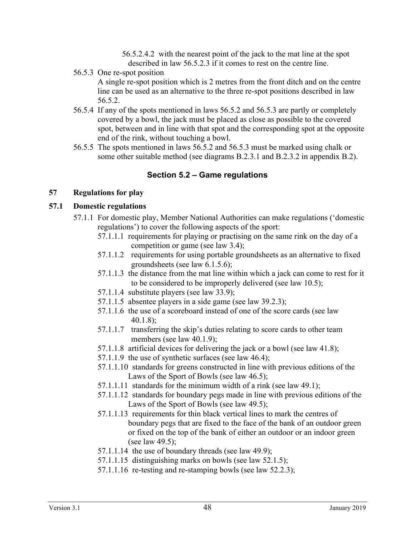56.5.2.4.2 with the nearest point of the jack to the mat line at the spot described in law 56.5.2.3 if it comes to rest on the centre line.

56.5.3 One re-spot position

A single re-spot position which is 2 metres from the front ditch and on the centre line can be used as an alternative to the three re-spot positions described in law 56.5.2.

- 56.5.4 If any of the spots mentioned in laws 56.5.2 and 56.5.3 are partly or completely covered by a bowl, the jack must be placed as close as possible to the covered spot, between and in line with that spot and the corresponding spot at the opposite end of the rink, without touching a bowl.
- 56.5.5 The spots mentioned in laws 56.5.2 and 56.5.3 must be marked using chalk or some other suitable method (see diagrams B.2.3.1 and B.2.3.2 in appendix B.2).

## **Section 5.2 – Game regulations**

## **57 Regulations for play**

## **57.1 Domestic regulations**

- 57.1.1 For domestic play, Member National Authorities can make regulations ('domestic regulations') to cover the following aspects of the sport:
	- 57.1.1.1 requirements for playing or practising on the same rink on the day of a competition or game (see law 3.4);
	- 57.1.1.2 requirements for using portable groundsheets as an alternative to fixed groundsheets (see law 6.1.5.6);
	- 57.1.1.3 the distance from the mat line within which a jack can come to rest for it to be considered to be improperly delivered (see law 10.5);
	- 57.1.1.4 substitute players (see law 33.9);
	- 57.1.1.5 absentee players in a side game (see law 39.2.3);
	- 57.1.1.6 the use of a scoreboard instead of one of the score cards (see law 40.1.8);
	- 57.1.1.7 transferring the skip's duties relating to score cards to other team members (see law 40.1.9);
	- 57.1.1.8 artificial devices for delivering the jack or a bowl (see law 41.8);
	- 57.1.1.9 the use of synthetic surfaces (see law 46.4);
	- 57.1.1.10 standards for greens constructed in line with previous editions of the Laws of the Sport of Bowls (see law 46.5);
	- 57.1.1.11 standards for the minimum width of a rink (see law 49.1);
	- 57.1.1.12 standards for boundary pegs made in line with previous editions of the Laws of the Sport of Bowls (see law 49.5);
	- 57.1.1.13 requirements for thin black vertical lines to mark the centres of boundary pegs that are fixed to the face of the bank of an outdoor green or fixed on the top of the bank of either an outdoor or an indoor green (see law 49.5);
	- $57.1.1.14$  the use of boundary threads (see law 49.9);
	- 57.1.1.15 distinguishing marks on bowls (see law 52.1.5);
	- 57.1.1.16 re-testing and re-stamping bowls (see law 52.2.3);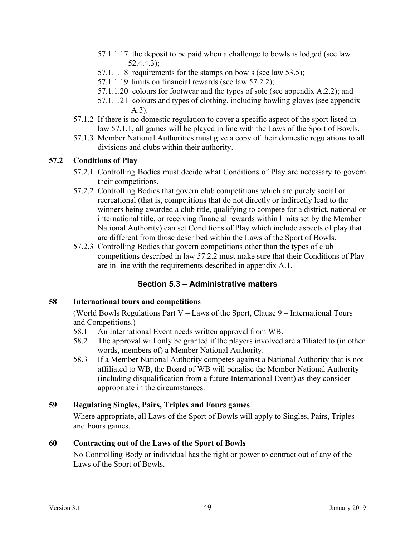- 57.1.1.17 the deposit to be paid when a challenge to bowls is lodged (see law 52.4.4.3);
- 57.1.1.18 requirements for the stamps on bowls (see law 53.5);
- 57.1.1.19 limits on financial rewards (see law 57.2.2);
- 57.1.1.20 colours for footwear and the types of sole (see appendix A.2.2); and
- 57.1.1.21 colours and types of clothing, including bowling gloves (see appendix A.3).
- 57.1.2 If there is no domestic regulation to cover a specific aspect of the sport listed in law 57.1.1, all games will be played in line with the Laws of the Sport of Bowls.
- 57.1.3 Member National Authorities must give a copy of their domestic regulations to all divisions and clubs within their authority.

## **57.2 Conditions of Play**

- 57.2.1 Controlling Bodies must decide what Conditions of Play are necessary to govern their competitions.
- 57.2.2 Controlling Bodies that govern club competitions which are purely social or recreational (that is, competitions that do not directly or indirectly lead to the winners being awarded a club title, qualifying to compete for a district, national or international title, or receiving financial rewards within limits set by the Member National Authority) can set Conditions of Play which include aspects of play that are different from those described within the Laws of the Sport of Bowls.
- 57.2.3 Controlling Bodies that govern competitions other than the types of club competitions described in law 57.2.2 must make sure that their Conditions of Play are in line with the requirements described in appendix A.1.

## **Section 5.3 – Administrative matters**

#### **58 International tours and competitions**

(World Bowls Regulations Part V – Laws of the Sport, Clause 9 – International Tours and Competitions.)

- 58.1 An International Event needs written approval from WB.
- 58.2 The approval will only be granted if the players involved are affiliated to (in other words, members of) a Member National Authority.
- 58.3 If a Member National Authority competes against a National Authority that is not affiliated to WB, the Board of WB will penalise the Member National Authority (including disqualification from a future International Event) as they consider appropriate in the circumstances.

## **59 Regulating Singles, Pairs, Triples and Fours games**

Where appropriate, all Laws of the Sport of Bowls will apply to Singles, Pairs, Triples and Fours games.

## **60 Contracting out of the Laws of the Sport of Bowls**

No Controlling Body or individual has the right or power to contract out of any of the Laws of the Sport of Bowls.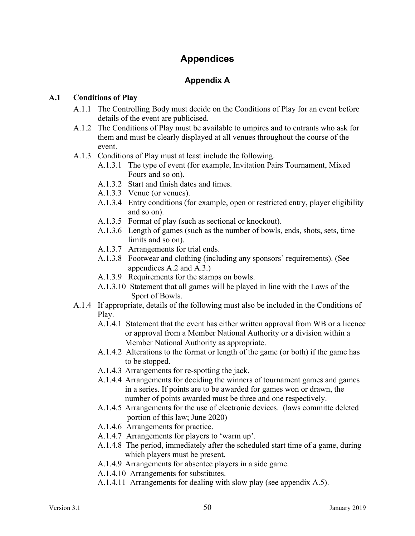# **Appendices**

## **Appendix A**

#### **A.1 Conditions of Play**

- A.1.1 The Controlling Body must decide on the Conditions of Play for an event before details of the event are publicised.
- A.1.2 The Conditions of Play must be available to umpires and to entrants who ask for them and must be clearly displayed at all venues throughout the course of the event.
- A.1.3 Conditions of Play must at least include the following.
	- A.1.3.1 The type of event (for example, Invitation Pairs Tournament, Mixed Fours and so on).
	- A.1.3.2 Start and finish dates and times.
	- A.1.3.3 Venue (or venues).
	- A.1.3.4 Entry conditions (for example, open or restricted entry, player eligibility and so on).
	- A.1.3.5 Format of play (such as sectional or knockout).
	- A.1.3.6 Length of games (such as the number of bowls, ends, shots, sets, time limits and so on).
	- A.1.3.7 Arrangements for trial ends.
	- A.1.3.8 Footwear and clothing (including any sponsors' requirements). (See appendices A.2 and A.3.)
	- A.1.3.9 Requirements for the stamps on bowls.
	- A.1.3.10 Statement that all games will be played in line with the Laws of the Sport of Bowls.
- A.1.4 If appropriate, details of the following must also be included in the Conditions of Play.
	- A.1.4.1 Statement that the event has either written approval from WB or a licence or approval from a Member National Authority or a division within a Member National Authority as appropriate.
	- A.1.4.2 Alterations to the format or length of the game (or both) if the game has to be stopped.
	- A.1.4.3 Arrangements for re-spotting the jack.
	- A.1.4.4 Arrangements for deciding the winners of tournament games and games in a series. If points are to be awarded for games won or drawn, the number of points awarded must be three and one respectively.
	- A.1.4.5 Arrangements for the use of electronic devices. (laws committe deleted portion of this law; June 2020)
	- A.1.4.6 Arrangements for practice.
	- A.1.4.7 Arrangements for players to 'warm up'.
	- A.1.4.8 The period, immediately after the scheduled start time of a game, during which players must be present.
	- A.1.4.9 Arrangements for absentee players in a side game.
	- A.1.4.10 Arrangements for substitutes.
	- A.1.4.11 Arrangements for dealing with slow play (see appendix A.5).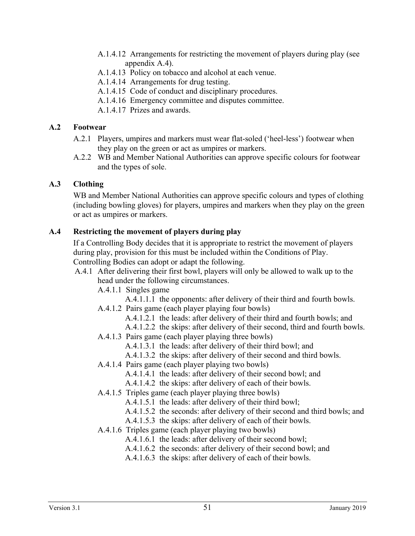- A.1.4.12 Arrangements for restricting the movement of players during play (see appendix A.4).
- A.1.4.13 Policy on tobacco and alcohol at each venue.
- A.1.4.14 Arrangements for drug testing.
- A.1.4.15 Code of conduct and disciplinary procedures.
- A.1.4.16 Emergency committee and disputes committee.
- A.1.4.17 Prizes and awards.

### **A.2 Footwear**

- A.2.1 Players, umpires and markers must wear flat-soled ('heel-less') footwear when they play on the green or act as umpires or markers.
- A.2.2 WB and Member National Authorities can approve specific colours for footwear and the types of sole.

## **A.3 Clothing**

WB and Member National Authorities can approve specific colours and types of clothing (including bowling gloves) for players, umpires and markers when they play on the green or act as umpires or markers.

## **A.4 Restricting the movement of players during play**

If a Controlling Body decides that it is appropriate to restrict the movement of players during play, provision for this must be included within the Conditions of Play. Controlling Bodies can adopt or adapt the following.

#### A.4.1 After delivering their first bowl, players will only be allowed to walk up to the head under the following circumstances.

- A.4.1.1 Singles game
	- A.4.1.1.1 the opponents: after delivery of their third and fourth bowls.
- A.4.1.2 Pairs game (each player playing four bowls)
	- A.4.1.2.1 the leads: after delivery of their third and fourth bowls; and
	- A.4.1.2.2 the skips: after delivery of their second, third and fourth bowls.
- A.4.1.3 Pairs game (each player playing three bowls)
	- A.4.1.3.1 the leads: after delivery of their third bowl; and
	- A.4.1.3.2 the skips: after delivery of their second and third bowls.
- A.4.1.4 Pairs game (each player playing two bowls)
	- A.4.1.4.1 the leads: after delivery of their second bowl; and
	- A.4.1.4.2 the skips: after delivery of each of their bowls.
- A.4.1.5 Triples game (each player playing three bowls)
	- A.4.1.5.1 the leads: after delivery of their third bowl;
	- A.4.1.5.2 the seconds: after delivery of their second and third bowls; and
	- A.4.1.5.3 the skips: after delivery of each of their bowls.
- A.4.1.6 Triples game (each player playing two bowls)
	- A.4.1.6.1 the leads: after delivery of their second bowl;
	- A.4.1.6.2 the seconds: after delivery of their second bowl; and
	- A.4.1.6.3 the skips: after delivery of each of their bowls.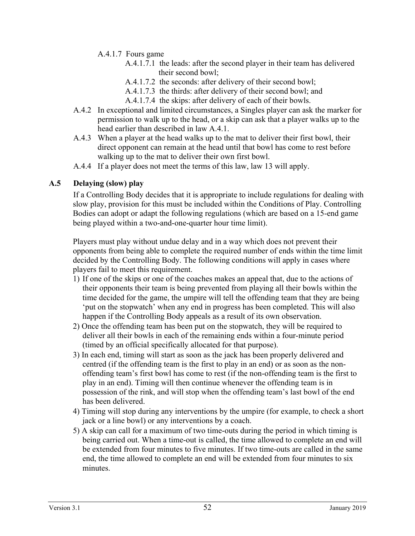A.4.1.7 Fours game

- A.4.1.7.1 the leads: after the second player in their team has delivered their second bowl;
- A.4.1.7.2 the seconds: after delivery of their second bowl;
- A.4.1.7.3 the thirds: after delivery of their second bowl; and
- A.4.1.7.4 the skips: after delivery of each of their bowls.
- A.4.2 In exceptional and limited circumstances, a Singles player can ask the marker for permission to walk up to the head, or a skip can ask that a player walks up to the head earlier than described in law A.4.1.
- A.4.3 When a player at the head walks up to the mat to deliver their first bowl, their direct opponent can remain at the head until that bowl has come to rest before walking up to the mat to deliver their own first bowl.
- A.4.4 If a player does not meet the terms of this law, law 13 will apply.

#### **A.5 Delaying (slow) play**

If a Controlling Body decides that it is appropriate to include regulations for dealing with slow play, provision for this must be included within the Conditions of Play. Controlling Bodies can adopt or adapt the following regulations (which are based on a 15-end game being played within a two-and-one-quarter hour time limit).

Players must play without undue delay and in a way which does not prevent their opponents from being able to complete the required number of ends within the time limit decided by the Controlling Body. The following conditions will apply in cases where players fail to meet this requirement.

- 1) If one of the skips or one of the coaches makes an appeal that, due to the actions of their opponents their team is being prevented from playing all their bowls within the time decided for the game, the umpire will tell the offending team that they are being 'put on the stopwatch' when any end in progress has been completed. This will also happen if the Controlling Body appeals as a result of its own observation.
- 2) Once the offending team has been put on the stopwatch, they will be required to deliver all their bowls in each of the remaining ends within a four-minute period (timed by an official specifically allocated for that purpose).
- 3) In each end, timing will start as soon as the jack has been properly delivered and centred (if the offending team is the first to play in an end) or as soon as the nonoffending team's first bowl has come to rest (if the non-offending team is the first to play in an end). Timing will then continue whenever the offending team is in possession of the rink, and will stop when the offending team's last bowl of the end has been delivered.
- 4) Timing will stop during any interventions by the umpire (for example, to check a short jack or a line bowl) or any interventions by a coach.
- 5) A skip can call for a maximum of two time-outs during the period in which timing is being carried out. When a time-out is called, the time allowed to complete an end will be extended from four minutes to five minutes. If two time-outs are called in the same end, the time allowed to complete an end will be extended from four minutes to six minutes.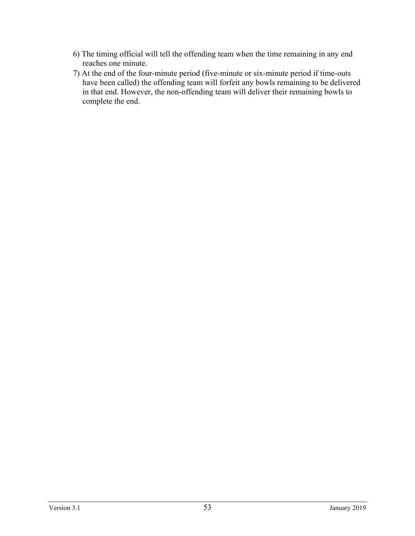- 6) The timing official will tell the offending team when the time remaining in any end reaches one minute.
- 7) At the end of the four-minute period (five-minute or six-minute period if time-outs have been called) the offending team will forfeit any bowls remaining to be delivered in that end. However, the non-offending team will deliver their remaining bowls to complete the end.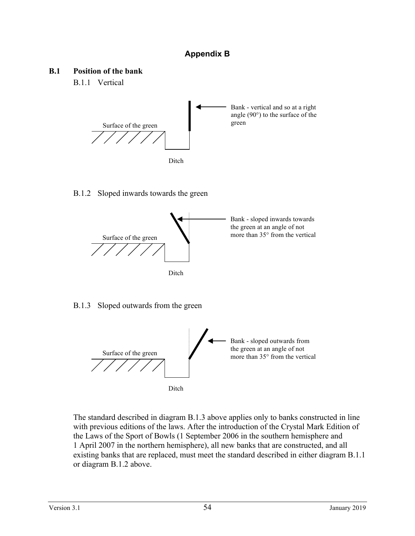## **Appendix B**

#### **B.1 Position of the bank**

B.1.1 Vertical



#### B.1.2 Sloped inwards towards the green



#### B.1.3 Sloped outwards from the green



The standard described in diagram B.1.3 above applies only to banks constructed in line with previous editions of the laws. After the introduction of the Crystal Mark Edition of the Laws of the Sport of Bowls (1 September 2006 in the southern hemisphere and 1 April 2007 in the northern hemisphere), all new banks that are constructed, and all existing banks that are replaced, must meet the standard described in either diagram B.1.1 or diagram B.1.2 above.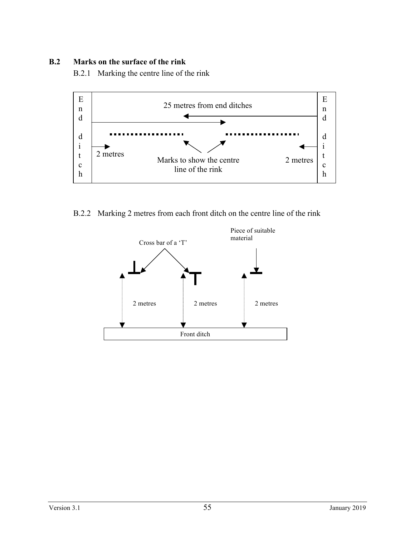#### **B.2 Marks on the surface of the rink**

B.2.1 Marking the centre line of the rink



B.2.2 Marking 2 metres from each front ditch on the centre line of the rink

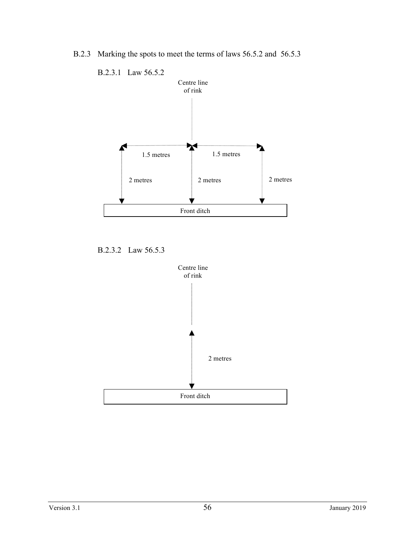B.2.3 Marking the spots to meet the terms of laws 56.5.2 and 56.5.3



B.2.3.2 Law 56.5.3

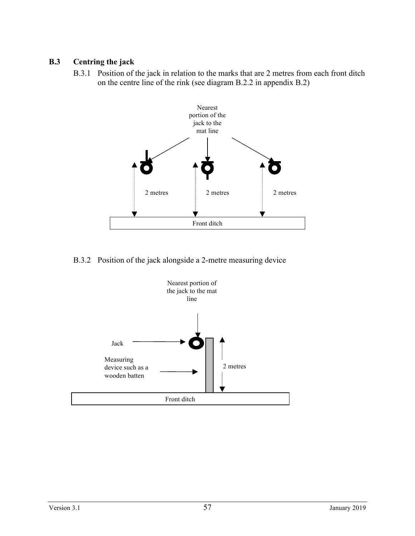#### **B.3 Centring the jack**

B.3.1 Position of the jack in relation to the marks that are 2 metres from each front ditch on the centre line of the rink (see diagram B.2.2 in appendix B.2)



B.3.2 Position of the jack alongside a 2-metre measuring device

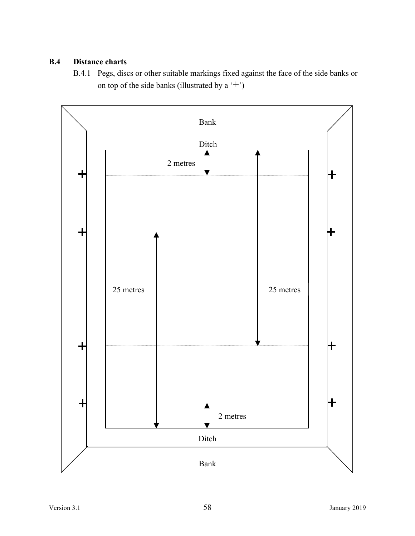## **B.4 Distance charts**

B.4.1 Pegs, discs or other suitable markings fixed against the face of the side banks or on top of the side banks (illustrated by a  $'$ +')

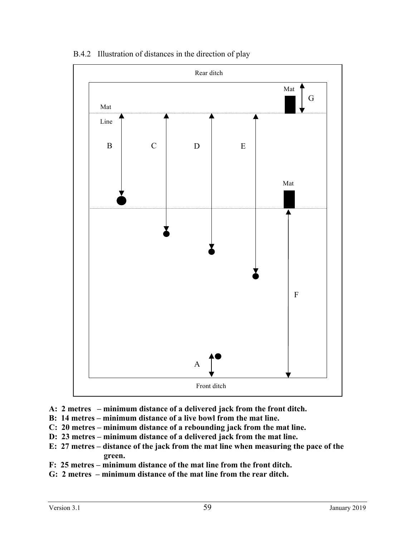

B.4.2 Illustration of distances in the direction of play

- **A: 2 metres – minimum distance of a delivered jack from the front ditch.**
- **B: 14 metres – minimum distance of a live bowl from the mat line.**
- **C: 20 metres – minimum distance of a rebounding jack from the mat line.**
- **D: 23 metres – minimum distance of a delivered jack from the mat line.**
- **E: 27 metres – distance of the jack from the mat line when measuring the pace of the green.**
- **F: 25 metres – minimum distance of the mat line from the front ditch.**
- **G: 2 metres – minimum distance of the mat line from the rear ditch.**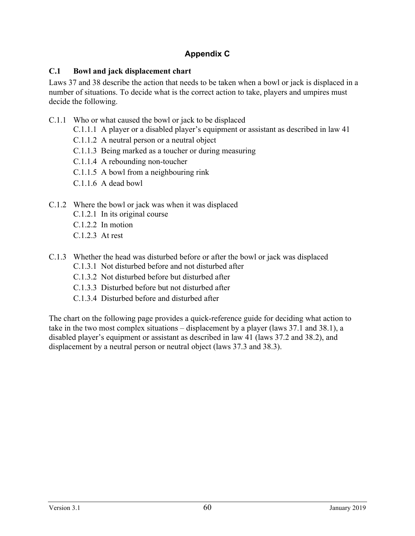## **Appendix C**

## **C.1 Bowl and jack displacement chart**

Laws 37 and 38 describe the action that needs to be taken when a bowl or jack is displaced in a number of situations. To decide what is the correct action to take, players and umpires must decide the following.

- C.1.1 Who or what caused the bowl or jack to be displaced
	- C.1.1.1 A player or a disabled player's equipment or assistant as described in law 41
	- C.1.1.2 A neutral person or a neutral object
	- C.1.1.3 Being marked as a toucher or during measuring
	- C.1.1.4 A rebounding non-toucher
	- C.1.1.5 A bowl from a neighbouring rink
	- C.1.1.6 A dead bowl

## C.1.2 Where the bowl or jack was when it was displaced

- C.1.2.1 In its original course
- C.1.2.2 In motion
- C.1.2.3 At rest
- C.1.3 Whether the head was disturbed before or after the bowl or jack was displaced
	- C.1.3.1 Not disturbed before and not disturbed after
	- C.1.3.2 Not disturbed before but disturbed after
	- C.1.3.3 Disturbed before but not disturbed after
	- C.1.3.4 Disturbed before and disturbed after

The chart on the following page provides a quick-reference guide for deciding what action to take in the two most complex situations – displacement by a player (laws 37.1 and 38.1), a disabled player's equipment or assistant as described in law 41 (laws 37.2 and 38.2), and displacement by a neutral person or neutral object (laws 37.3 and 38.3).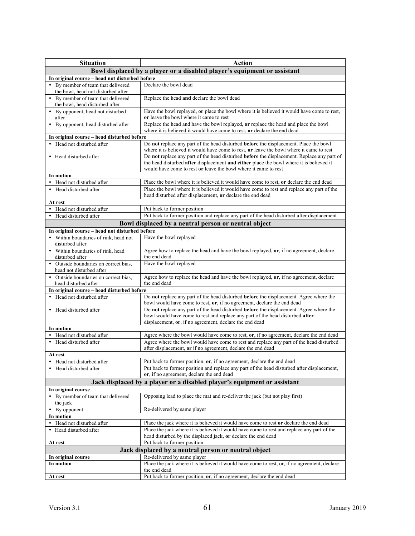| <b>Situation</b>                                                                                                           | <b>Action</b>                                                                                                                                                                                                                                            |  |  |  |  |
|----------------------------------------------------------------------------------------------------------------------------|----------------------------------------------------------------------------------------------------------------------------------------------------------------------------------------------------------------------------------------------------------|--|--|--|--|
|                                                                                                                            |                                                                                                                                                                                                                                                          |  |  |  |  |
| Bowl displaced by a player or a disabled player's equipment or assistant<br>In original course - head not disturbed before |                                                                                                                                                                                                                                                          |  |  |  |  |
| • By member of team that delivered                                                                                         | Declare the bowl dead                                                                                                                                                                                                                                    |  |  |  |  |
| the bowl, head not disturbed after                                                                                         |                                                                                                                                                                                                                                                          |  |  |  |  |
| • By member of team that delivered<br>the bowl, head disturbed after                                                       | Replace the head and declare the bowl dead                                                                                                                                                                                                               |  |  |  |  |
| • By opponent, head not disturbed<br>after                                                                                 | Have the bowl replayed, or place the bowl where it is believed it would have come to rest,<br>or leave the bowl where it came to rest                                                                                                                    |  |  |  |  |
| • By opponent, head disturbed after                                                                                        | Replace the head and have the bowl replayed, or replace the head and place the bowl<br>where it is believed it would have come to rest, or declare the end dead                                                                                          |  |  |  |  |
| In original course - head disturbed before                                                                                 |                                                                                                                                                                                                                                                          |  |  |  |  |
| • Head not disturbed after                                                                                                 | Do not replace any part of the head disturbed before the displacement. Place the bowl<br>where it is believed it would have come to rest, or leave the bowl where it came to rest                                                                        |  |  |  |  |
| • Head disturbed after                                                                                                     | Do not replace any part of the head disturbed before the displacement. Replace any part of<br>the head disturbed after displacement and either place the bowl where it is believed it<br>would have come to rest or leave the bowl where it came to rest |  |  |  |  |
| In motion                                                                                                                  |                                                                                                                                                                                                                                                          |  |  |  |  |
| • Head not disturbed after                                                                                                 | Place the bowl where it is believed it would have come to rest, or declare the end dead                                                                                                                                                                  |  |  |  |  |
| • Head disturbed after                                                                                                     | Place the bowl where it is believed it would have come to rest and replace any part of the<br>head disturbed after displacement, or declare the end dead                                                                                                 |  |  |  |  |
| At rest                                                                                                                    |                                                                                                                                                                                                                                                          |  |  |  |  |
| Head not disturbed after<br>$\bullet$                                                                                      | Put back to former position                                                                                                                                                                                                                              |  |  |  |  |
| • Head disturbed after                                                                                                     | Put back to former position and replace any part of the head disturbed after displacement                                                                                                                                                                |  |  |  |  |
|                                                                                                                            | Bowl displaced by a neutral person or neutral object                                                                                                                                                                                                     |  |  |  |  |
| In original course - head not disturbed before                                                                             |                                                                                                                                                                                                                                                          |  |  |  |  |
| • Within boundaries of rink, head not                                                                                      | Have the bowl replayed                                                                                                                                                                                                                                   |  |  |  |  |
| disturbed after                                                                                                            |                                                                                                                                                                                                                                                          |  |  |  |  |
| • Within boundaries of rink, head                                                                                          | Agree how to replace the head and have the bowl replayed, or, if no agreement, declare                                                                                                                                                                   |  |  |  |  |
| disturbed after                                                                                                            | the end dead                                                                                                                                                                                                                                             |  |  |  |  |
| • Outside boundaries on correct bias,<br>head not disturbed after                                                          | Have the bowl replayed                                                                                                                                                                                                                                   |  |  |  |  |
| • Outside boundaries on correct bias,<br>head disturbed after                                                              | Agree how to replace the head and have the bowl replayed, or, if no agreement, declare<br>the end dead                                                                                                                                                   |  |  |  |  |
| In original course - head disturbed before                                                                                 |                                                                                                                                                                                                                                                          |  |  |  |  |
| • Head not disturbed after                                                                                                 | Do not replace any part of the head disturbed <b>before</b> the displacement. Agree where the<br>bowl would have come to rest, or, if no agreement, declare the end dead                                                                                 |  |  |  |  |
| • Head disturbed after                                                                                                     | Do not replace any part of the head disturbed before the displacement. Agree where the<br>bowl would have come to rest and replace any part of the head disturbed after<br>displacement, or, if no agreement, declare the end dead                       |  |  |  |  |
| In motion                                                                                                                  |                                                                                                                                                                                                                                                          |  |  |  |  |
| Head not disturbed after<br>$\bullet$                                                                                      | Agree where the bowl would have come to rest, or, if no agreement, declare the end dead                                                                                                                                                                  |  |  |  |  |
| • Head disturbed after                                                                                                     | Agree where the bowl would have come to rest and replace any part of the head disturbed<br>after displacement, or if no agreement, declare the end dead                                                                                                  |  |  |  |  |
| At rest                                                                                                                    |                                                                                                                                                                                                                                                          |  |  |  |  |
| Head not disturbed after                                                                                                   | Put back to former position, or, if no agreement, declare the end dead                                                                                                                                                                                   |  |  |  |  |
| • Head disturbed after                                                                                                     | Put back to former position and replace any part of the head disturbed after displacement.<br>or, if no agreement, declare the end dead                                                                                                                  |  |  |  |  |
|                                                                                                                            | Jack displaced by a player or a disabled player's equipment or assistant                                                                                                                                                                                 |  |  |  |  |
| In original course                                                                                                         |                                                                                                                                                                                                                                                          |  |  |  |  |
| • By member of team that delivered<br>the jack                                                                             | Opposing lead to place the mat and re-deliver the jack (but not play first)                                                                                                                                                                              |  |  |  |  |
| • By opponent                                                                                                              | Re-delivered by same player                                                                                                                                                                                                                              |  |  |  |  |
| In motion                                                                                                                  |                                                                                                                                                                                                                                                          |  |  |  |  |
| • Head not disturbed after                                                                                                 | Place the jack where it is believed it would have come to rest or declare the end dead                                                                                                                                                                   |  |  |  |  |
| • Head disturbed after                                                                                                     | Place the jack where it is believed it would have come to rest and replace any part of the<br>head disturbed by the displaced jack, or declare the end dead                                                                                              |  |  |  |  |
| At rest                                                                                                                    | Put back to former position                                                                                                                                                                                                                              |  |  |  |  |
|                                                                                                                            | Jack displaced by a neutral person or neutral object                                                                                                                                                                                                     |  |  |  |  |
| In original course                                                                                                         | Re-delivered by same player                                                                                                                                                                                                                              |  |  |  |  |
| In motion                                                                                                                  | Place the jack where it is believed it would have come to rest, or, if no agreement, declare                                                                                                                                                             |  |  |  |  |
|                                                                                                                            | the end dead                                                                                                                                                                                                                                             |  |  |  |  |
| At rest                                                                                                                    | Put back to former position, or, if no agreement, declare the end dead                                                                                                                                                                                   |  |  |  |  |